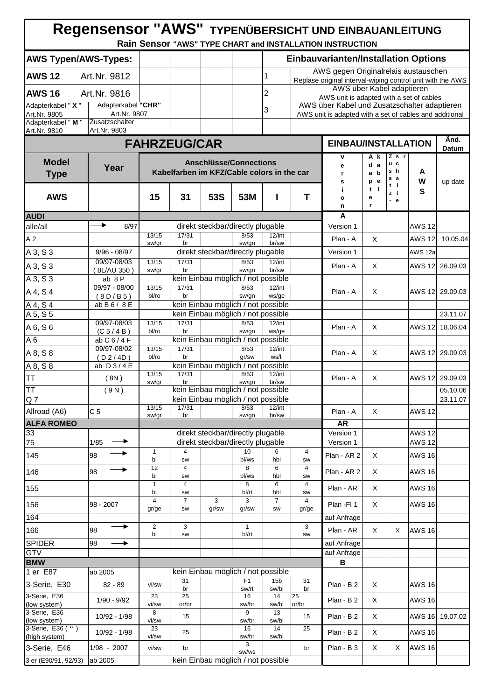|                                    | Regensensor "AWS" TYPENÜBERSICHT UND EINBAUANLEITUNG |                         |                                            |                                    |                         |                          |                         | Rain Sensor "AWS" TYPE CHART and INSTALLATION INSTRUCTION                                               |                            |                        |                   |                 |
|------------------------------------|------------------------------------------------------|-------------------------|--------------------------------------------|------------------------------------|-------------------------|--------------------------|-------------------------|---------------------------------------------------------------------------------------------------------|----------------------------|------------------------|-------------------|-----------------|
| <b>AWS Typen/AWS-Types:</b>        |                                                      |                         |                                            |                                    |                         |                          |                         | <b>Einbauvarianten/Installation Options</b>                                                             |                            |                        |                   |                 |
| <b>AWS 12</b>                      | Art.Nr. 9812                                         |                         |                                            |                                    |                         | 1                        |                         | AWS gegen Originalrelais austauschen                                                                    |                            |                        |                   |                 |
|                                    |                                                      |                         |                                            |                                    |                         |                          |                         | Replase original interval-wiping control unit with the AWS<br>AWS über Kabel adaptieren                 |                            |                        |                   |                 |
| <b>AWS 16</b>                      | Art.Nr. 9816                                         |                         |                                            |                                    |                         | 12                       |                         | AWS unit is adapted with a set of cables                                                                |                            |                        |                   |                 |
| Adapterkabel " X "<br>Art.Nr. 9805 | Adapterkabel "CHR"<br>Art.Nr. 9807                   |                         |                                            |                                    |                         | 3                        |                         | AWS über Kabel und Zusatzschalter adaptieren<br>AWS unit is adapted with a set of cables and additional |                            |                        |                   |                 |
| Adapterkabel "M"<br>Art.Nr. 9810   | Zusatzschalter<br>Art.Nr. 9803                       |                         |                                            |                                    |                         |                          |                         |                                                                                                         |                            |                        |                   |                 |
|                                    |                                                      |                         | <b>FAHRZEUG/CAR</b>                        |                                    |                         |                          |                         | <b>EINBAU/INSTALLATION</b>                                                                              |                            |                        |                   | Änd.<br>Datum   |
| <b>Model</b><br><b>Type</b>        | Year                                                 |                         | Kabelfarben im KFZ/Cable colors in the car | <b>Anschlüsse/Connections</b>      |                         |                          |                         | ۷<br>е<br>r                                                                                             | A k<br>d a<br>a b          | Z s r<br>u c<br>s h    | A                 |                 |
| <b>AWS</b>                         |                                                      | 15                      | 31                                         | 53S                                | 53M                     |                          | T                       | s<br>i<br>o<br>n                                                                                        | p e<br>$t \mid$<br>е<br>r. | a a<br>t I<br>zt<br>-е | w<br>S            | up date         |
| <b>AUDI</b>                        |                                                      |                         |                                            |                                    |                         |                          |                         | A                                                                                                       |                            |                        |                   |                 |
| alle/all                           | ,<br>8/97                                            |                         |                                            | direkt steckbar/directly plugable  |                         |                          |                         | Version 1                                                                                               |                            |                        | <b>AWS 12</b>     |                 |
| A <sub>2</sub>                     |                                                      | 13/15<br>sw/gr          | 17/31<br>br                                |                                    | 8/53<br>sw/gn           | $12$ /int<br>br/sw       |                         | Plan - A                                                                                                | X                          |                        | <b>AWS 12</b>     | 10.05.04        |
| A 3, S 3                           | $9/96 - 08/97$                                       |                         |                                            | direkt steckbar/directly plugable  |                         |                          |                         | Version 1                                                                                               |                            |                        | AWS 12a           |                 |
| A 3, S 3                           | 09/97-08/03                                          | 13/15                   | 17/31<br>br                                |                                    | 8/53<br>sw/gn           | $12$ /int<br>br/sw       |                         | Plan - A                                                                                                | X                          |                        | <b>AWS 12</b>     | 26.09.03        |
| A 3, S 3                           | (8L/AU 350)<br>ab 8P                                 | sw/gr                   |                                            | kein Einbau möglich / not possible |                         |                          |                         |                                                                                                         |                            |                        |                   |                 |
| A 4, S 4                           | 09/97 - 08/00                                        | 13/15<br>bl/ro          | 17/31<br>br                                |                                    | 8/53<br>sw/gn           | $12$ /int<br>ws/ge       |                         | Plan - A                                                                                                | X                          |                        |                   | AWS 12 29.09.03 |
| $A$ 4, $S$ 4                       | (8D/B5)<br>ab B 6 / 8 E                              |                         |                                            | kein Einbau möglich / not possible |                         |                          |                         |                                                                                                         |                            |                        |                   |                 |
| A 5, S 5                           |                                                      |                         |                                            | kein Einbau möglich / not possible |                         |                          |                         |                                                                                                         |                            |                        |                   | 23.11.07        |
| A 6, S 6                           | 09/97-08/03<br>(C 5 / 4 B)                           | 13/15<br>bl/ro          | 17/31<br>br                                |                                    | 8/53<br>sw/gn           | $12$ /int<br>ws/ge       |                         | Plan - A                                                                                                | X                          |                        | <b>AWS 12</b>     | 18.06.04        |
| A6                                 | $ab$ C 6 / 4 F                                       |                         |                                            | kein Einbau möglich / not possible |                         |                          |                         |                                                                                                         |                            |                        |                   |                 |
| A 8, S 8                           | 09/97-08/02<br>(D2/4D)                               | 13/15<br>bl/ro          | 17/31<br>br                                |                                    | 8/53<br>gr/sw           | $12$ /int<br>ws/li       |                         | Plan - A                                                                                                | X                          |                        |                   | AWS 12 29.09.03 |
| A 8, S 8                           | ab $D3/4E$                                           |                         |                                            | kein Einbau möglich / not possible |                         |                          |                         |                                                                                                         |                            |                        |                   |                 |
| TТ                                 | (8N)                                                 | 13/15<br>sw/gr          | 17/31<br>br                                |                                    | 8/53<br>sw/gn           | $12$ /int<br>br/sw       |                         | Plan - A                                                                                                | X                          |                        | <b>AWS 12</b>     | 29.09.03        |
| $\overline{\text{TT}}$             | (9N)                                                 |                         |                                            | kein Einbau möglich / not possible |                         |                          |                         |                                                                                                         |                            |                        |                   | 05.10.06        |
| Q <sub>7</sub><br>Allroad (A6)     | C <sub>5</sub>                                       | 13/15                   | 17/31                                      | kein Einbau möglich / not possible | 8/53                    | $12$ /int                |                         |                                                                                                         |                            |                        |                   | 23.11.07        |
| <b>ALFA ROMEO</b>                  |                                                      | sw/gr                   | br                                         |                                    | sw/gn                   | br/sw                    |                         | Plan - A<br><b>AR</b>                                                                                   | X                          |                        | <b>AWS 12</b>     |                 |
| 33                                 |                                                      |                         |                                            | direkt steckbar/directly plugable  |                         |                          |                         | Version 1                                                                                               |                            |                        | <b>AWS 12</b>     |                 |
| 75                                 | 1/85                                                 |                         |                                            | direkt steckbar/directly plugable  |                         |                          |                         | Version 1                                                                                               |                            |                        | <b>AWS 12</b>     |                 |
| 145                                | ▸<br>98                                              | 1<br>bl                 | 4<br>SW                                    |                                    | 10<br>bl/ws             | 6<br>hbl                 | 4<br>SW                 | Plan - AR 2                                                                                             | X                          |                        | <b>AWS 16</b>     |                 |
| 146                                | ▸<br>98                                              | 12<br>bl                | 4<br>SW                                    |                                    | 8<br>bl/ws              | 6<br>hbl                 | $\overline{4}$<br>SW    | Plan - AR 2                                                                                             | X                          |                        | <b>AWS 16</b>     |                 |
| 155                                |                                                      | $\mathbf{1}$<br>bl      | 4<br>SW                                    |                                    | 8<br>bl/rt              | 6<br>hbl                 | 4<br>SW                 | Plan - AR                                                                                               | X                          |                        | <b>AWS 16</b>     |                 |
| 156                                | 98 - 2007                                            | $\overline{4}$<br>gr/ge | $\overline{7}$<br>SW                       | 3<br>gr/sw                         | 3<br>gr/sw              | $\overline{7}$<br>SW     | $\overline{4}$<br>gr/ge | Plan - FI 1                                                                                             | X                          |                        | <b>AWS 16</b>     |                 |
| 164                                |                                                      |                         |                                            |                                    |                         |                          |                         | auf Anfrage                                                                                             |                            |                        |                   |                 |
| 166                                | ▸<br>98                                              | $\overline{2}$<br>bl    | 3<br>SW                                    |                                    | $\mathbf{1}$<br>bl/rt   |                          | 3<br>SW                 | Plan - AR                                                                                               | X                          | X                      | <b>AWS 16</b>     |                 |
| <b>SPIDER</b>                      | 98<br>$\rightarrow$                                  |                         |                                            |                                    |                         |                          |                         | auf Anfrage                                                                                             |                            |                        |                   |                 |
| <b>GTV</b>                         |                                                      |                         |                                            |                                    |                         |                          |                         | auf Anfrage                                                                                             |                            |                        |                   |                 |
| <b>BMW</b><br>1 er E87             | ab 2005                                              |                         |                                            | kein Einbau möglich / not possible |                         |                          |                         | B                                                                                                       |                            |                        |                   |                 |
| 3-Serie, E30                       | $82 - 89$                                            | vi/sw                   | 31<br>br                                   |                                    | F <sub>1</sub><br>sw/rt | 15 <sub>b</sub><br>sw/bl | 31<br>br                | Plan - B 2                                                                                              | X                          |                        | <b>AWS 16</b>     |                 |
| 3-Serie, E36                       | $1/90 - 9/92$                                        | 23                      | 25                                         |                                    | 16                      | 14                       | 25                      | Plan - B2                                                                                               | X                          |                        | <b>AWS 16</b>     |                 |
| (low system)<br>3-Serie, E36       |                                                      | vi/sw<br>8              | or/br<br>15                                |                                    | sw/br<br>9              | sw/bl<br>13              | or/br                   |                                                                                                         | X                          |                        |                   | AWS 16 19.07.02 |
| (low system)<br>3-Serie, E36 (**)  | 10/92 - 1/98                                         | vi/sw<br>23             |                                            |                                    | sw/br<br>16             | sw/bl<br>14              | 15<br>25                | Plan - B 2                                                                                              |                            |                        |                   |                 |
| (high system)                      | $10/92 - 1/98$                                       | vi/sw                   | 25                                         |                                    | sw/br<br>3              | sw/bl                    |                         | Plan - B 2                                                                                              | X                          |                        | <b>AWS 16</b>     |                 |
| 3-Serie, E46                       | 1/98 - 2007                                          | vi/sw                   | br                                         |                                    | sw/ws                   |                          | br                      | Plan - B 3                                                                                              | X.                         | X                      | AWS <sub>16</sub> |                 |
| 3 er (E90/91, 92/93)               | ab 2005                                              |                         |                                            | kein Einbau möglich / not possible |                         |                          |                         |                                                                                                         |                            |                        |                   |                 |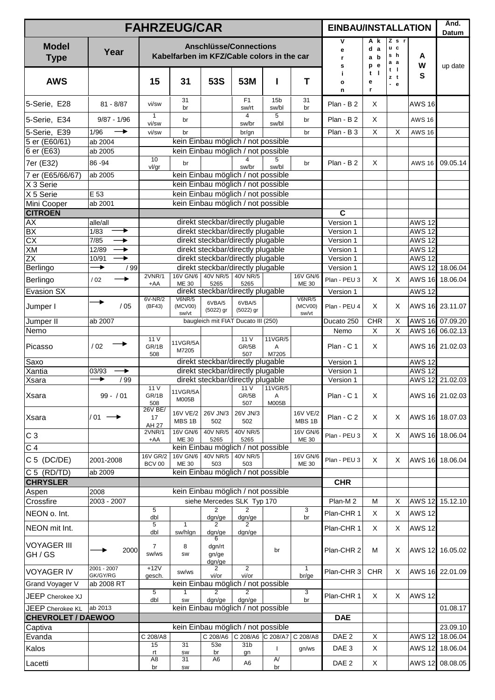|                               |                         | <b>FAHRZEUG/CAR</b>     |                                                                                              |                                                                          |                                                        |                          |                    | <b>EINBAU/INSTALLATION</b> |                          |                                 |                           | Änd.<br>Datum   |
|-------------------------------|-------------------------|-------------------------|----------------------------------------------------------------------------------------------|--------------------------------------------------------------------------|--------------------------------------------------------|--------------------------|--------------------|----------------------------|--------------------------|---------------------------------|---------------------------|-----------------|
| <b>Model</b><br><b>Type</b>   | Year                    |                         | Kabelfarben im KFZ/Cable colors in the car                                                   | <b>Anschlüsse/Connections</b>                                            |                                                        |                          |                    | ٧<br>е<br>r.<br>s          | A k<br>d a<br>a b<br>p e | Zsr<br>u c<br>s h<br>а а<br>t I | A<br>W                    | up date         |
| <b>AWS</b>                    |                         | 15                      | 31                                                                                           | 53S                                                                      | 53M                                                    |                          | T                  | j.<br>o<br>n               | - 1<br>t<br>е<br>r       | zt<br>$-e$                      | S                         |                 |
| 5-Serie, E28                  | $81 - 8/87$             | vi/sw                   | 31<br>br                                                                                     |                                                                          | F1<br>sw/rt                                            | 15 <sub>b</sub><br>sw/bl | 31<br>br           | Plan - B2                  | X                        |                                 | <b>AWS 16</b>             |                 |
| 5-Serie, E34                  | $9/87 - 1/96$           | $\mathbf{1}$<br>vi/sw   | br                                                                                           |                                                                          | $\overline{4}$<br>sw/br                                | 5<br>sw/bl               | br                 | Plan - B 2                 | X                        |                                 | <b>AWS 16</b>             |                 |
| 5-Serie, E39                  | 1/96<br>→               | vi/sw                   | br                                                                                           |                                                                          | br/gn                                                  |                          | br                 | Plan - B 3                 | $\pmb{\times}$           | $\mathsf X$                     | <b>AWS 16</b>             |                 |
| 5 er (E60/61)<br>6 er (E63)   | ab 2004<br>ab 2005      |                         |                                                                                              | kein Einbau möglich / not possible<br>kein Einbau möglich / not possible |                                                        |                          |                    |                            |                          |                                 |                           |                 |
|                               | 86-94                   | 10                      | br                                                                                           |                                                                          | $\overline{4}$                                         | 5                        | br                 | Plan - B2                  | X                        |                                 | <b>AWS 16</b>             | 09.05.14        |
| 7er (E32)                     |                         | vl/gr                   |                                                                                              |                                                                          | sw/br                                                  | sw/bl                    |                    |                            |                          |                                 |                           |                 |
| 7 er (E65/66/67)<br>X 3 Serie | ab 2005                 |                         |                                                                                              | kein Einbau möglich / not possible<br>kein Einbau möglich / not possible |                                                        |                          |                    |                            |                          |                                 |                           |                 |
| X 5 Serie                     | E 53                    |                         |                                                                                              | kein Einbau möglich / not possible                                       |                                                        |                          |                    |                            |                          |                                 |                           |                 |
| Mini Cooper                   | ab 2001                 |                         |                                                                                              | kein Einbau möglich / not possible                                       |                                                        |                          |                    |                            |                          |                                 |                           |                 |
| <b>CITROEN</b>                |                         |                         |                                                                                              |                                                                          |                                                        |                          |                    | $\mathbf C$                |                          |                                 |                           |                 |
| AX<br>BX                      | alle/all<br>▶<br>1/83   |                         |                                                                                              | direkt steckbar/directly plugable<br>direkt steckbar/directly plugable   |                                                        |                          |                    | Version 1<br>Version 1     |                          |                                 | <b>AWS 12</b><br>$AWS$ 12 |                 |
| $\overline{CX}$               | 7/85<br>$\rightarrow$   |                         |                                                                                              | direkt steckbar/directly plugable                                        |                                                        |                          |                    | Version 1                  |                          |                                 | <b>AWS 12</b>             |                 |
| XM                            | 12/89<br>▸              |                         |                                                                                              | direkt steckbar/directly plugable                                        |                                                        |                          |                    | Version 1                  |                          |                                 | <b>AWS 12</b>             |                 |
| <b>ZX</b>                     | ▸<br>10/91              |                         |                                                                                              | direkt steckbar/directly plugable                                        |                                                        |                          |                    | Version 1                  |                          |                                 | <b>AWS 12</b>             |                 |
| Berlingo                      | ▸<br>/99                | 2VNR/1                  | 16V GN/6                                                                                     | direkt steckbar/directly plugable<br>40V NR/5                            | 40V NR/5                                               |                          | <b>16V GN/6</b>    | Version 1                  |                          |                                 | <b>AWS 12</b>             | 18.06.04        |
| Berlingo                      | ▸<br>/02                | $+AA$                   | ME 30                                                                                        | 5265                                                                     | 5265                                                   |                          | ME 30              | Plan - PEU 3               | X                        | X                               |                           | AWS 16 18.06.04 |
| <b>Evasion SX</b>             |                         | 6V-NR/2                 | V6NR/5                                                                                       | direkt steckbar/directly plugable<br>6VBA/5                              | 6VBA/5                                                 |                          | V6NR/5             | Version 1                  |                          |                                 | <b>AWS 12</b>             |                 |
| Jumper I                      | /05                     | (BF43)                  | (MCV00)<br>sw/vt                                                                             | (5022) gr                                                                | $(5022)$ gr                                            |                          | (MCV00)<br>sw/vt   | Plan - PEU 4               | X                        | X                               |                           | AWS 16 23.11.07 |
| Jumper II                     | ab 2007                 |                         |                                                                                              |                                                                          |                                                        |                          |                    | Ducato 250<br>Nemo         | <b>CHR</b>               | $\mathsf X$                     |                           | AWS 16 07.09.20 |
| Nemo                          |                         |                         | baugleich mit FIAT Ducato III (250)<br>11 V<br>11VGR/5                                       |                                                                          |                                                        |                          |                    |                            | X                        | $\overline{X}$                  |                           | AWS 16 06.02.13 |
| Picasso                       | /02                     | GR/1B<br>508            | 11 V<br>11VGR/5A<br>GR/5B<br>Α<br>M7205<br>507<br>M7205<br>direkt steckbar/directly plugable |                                                                          |                                                        |                          |                    | Plan - C 1                 | X                        |                                 |                           | AWS 16 21.02.03 |
| Saxo                          |                         |                         |                                                                                              |                                                                          |                                                        |                          |                    | Version 1                  |                          |                                 | <b>AWS 12</b>             |                 |
| Xantia<br><b>Xsara</b>        | 03/93<br>▶<br>▸<br>/99  |                         |                                                                                              | direkt steckbar/directly plugable<br>direkt steckbar/directly plugable   |                                                        |                          |                    | Version 1<br>Version 1     |                          |                                 | <b>AWS 12</b>             | AWS 12 21.02.03 |
|                               |                         | 11 V                    | 11VGR/5A                                                                                     |                                                                          |                                                        | 11 V 11 VGR/5            |                    |                            |                          |                                 |                           |                 |
| <b>Xsara</b>                  | $99 - / 01$             | GR/1B<br>508<br>26V BE/ | M005B                                                                                        |                                                                          | GR/5B<br>507                                           | $\mathsf A$<br>M005B     |                    | Plan - C 1                 | X                        |                                 |                           | AWS 16 21.02.03 |
| <b>Xsara</b>                  | $/01 -$<br>→            | 17<br>AH 27             | 16V VE/2<br>MBS 1B                                                                           | 26V JN/3<br>502                                                          | 26V JN/3<br>502                                        |                          | 16V VE/2<br>MBS 1B | Plan - C 2                 | X                        | X                               |                           | AWS 16 18.07.03 |
| C <sub>3</sub>                |                         | 2VNR/1<br>+AA           | 16V GN/6<br>ME 30                                                                            | 40V NR/5<br>5265                                                         | 40V NR/5<br>5265                                       |                          | 16V GN/6<br>ME 30  | Plan - PEU 3               | $\times$                 | X                               |                           | AWS 16 18.06.04 |
| $\overline{C}$ 4              |                         |                         |                                                                                              | kein Einbau möglich / not possible                                       |                                                        |                          |                    |                            |                          |                                 |                           |                 |
| C 5 (DC/DE)                   | 2001-2008               | 16V GR/2<br>BCV 00      | 16V GN/6<br>ME 30                                                                            | 40V NR/5<br>503                                                          | 40V NR/5<br>503                                        |                          | 16V GN/6<br>ME 30  | Plan - PEU 3               | X                        | X                               |                           | AWS 16 18.06.04 |
| C 5 (RD/TD)                   | ab 2009                 |                         |                                                                                              | kein Einbau möglich / not possible                                       |                                                        |                          |                    |                            |                          |                                 |                           |                 |
| <b>CHRYSLER</b>               |                         |                         |                                                                                              |                                                                          |                                                        |                          |                    | <b>CHR</b>                 |                          |                                 |                           |                 |
| Aspen                         | 2008                    |                         |                                                                                              | kein Einbau möglich / not possible                                       |                                                        |                          |                    |                            |                          |                                 |                           |                 |
| Crossfire                     | 2003 - 2007             | 5                       |                                                                                              | siehe Mercedes SLK Typ 170<br>$\overline{2}$                             | $\overline{2}$                                         |                          | 3                  | Plan-M2                    | M                        | X                               |                           | AWS 12 15.12.10 |
| NEON o. Int.                  |                         | dbl                     |                                                                                              | dgn/ge                                                                   | dgn/ge                                                 |                          | br                 | Plan-CHR 1                 | X                        | X                               | <b>AWS 12</b>             |                 |
| NEON mit Int.                 |                         | 5<br>dbl                | $\mathbf{1}$<br>sw/hlgn                                                                      | $\overline{2}$<br>dgn/ge<br>6                                            | $\overline{2}$<br>dgn/ge                               |                          |                    | Plan-CHR 1                 | X                        | Χ                               | <b>AWS 12</b>             |                 |
| <b>VOYAGER III</b><br>GH/GS   | 2000                    | $\overline{7}$<br>sw/ws | 8<br><b>SW</b>                                                                               | dgn/rt<br>gn/ge<br>dgn/ge                                                |                                                        | br                       |                    | Plan-CHR 2                 | м                        | Χ                               |                           | AWS 12 16.05.02 |
| <b>VOYAGER IV</b>             | 2001 - 2007<br>GK/GY/RG | $+12V$<br>gesch.        | sw/ws                                                                                        | $\overline{2}$<br>vi/or                                                  | $\overline{2}$<br>vi/or                                |                          | 1<br>br/ge         | Plan-CHR 3                 | <b>CHR</b>               | X                               |                           | AWS 16 22.01.09 |
| Grand Voyager V               | ab 2008 RT              |                         | kein Einbau möglich / not possible                                                           |                                                                          |                                                        |                          |                    |                            |                          |                                 |                           |                 |
| JEEP Cherokee XJ              |                         | dbl                     | $\overline{5}$<br>$\overline{2}$<br>1<br>$\overline{2}$<br>3<br>dgn/ge<br>dgn/ge<br>br<br>SW |                                                                          |                                                        |                          |                    |                            | X                        | X                               | <b>AWS 12</b>             |                 |
| JEEP Cherokee KL              | ab 2013                 |                         | kein Einbau möglich / not possible                                                           |                                                                          |                                                        |                          |                    |                            |                          |                                 |                           | 01.08.17        |
| <b>CHEVROLET / DAEWOO</b>     |                         |                         |                                                                                              |                                                                          | <b>DAE</b>                                             |                          |                    |                            |                          |                                 |                           |                 |
| Captiva                       |                         | C 208/A8                | kein Einbau möglich / not possible                                                           | DAE <sub>2</sub>                                                         | X                                                      |                          | <b>AWS 12</b>      | 23.09.10<br>18.06.04       |                          |                                 |                           |                 |
| Evanda                        |                         | 15                      | 31                                                                                           | 53e                                                                      | C 208/A6 C 208/A6 C 208/A7 C 208/A8<br>31 <sub>b</sub> | $\mathbf{I}$             |                    | DAE <sub>3</sub>           | X                        |                                 |                           | 18.06.04        |
| Kalos                         |                         | rt<br>A <sub>8</sub>    | SW<br>31                                                                                     | br<br>A <sub>6</sub>                                                     | gn                                                     | $\overline{A}$           | gn/ws              |                            |                          |                                 | <b>AWS 12</b>             |                 |
| Lacetti                       |                         | br                      | SW                                                                                           |                                                                          | A6                                                     | br                       |                    | DAE <sub>2</sub>           | X                        |                                 | <b>AWS 12</b>             | 08.08.05        |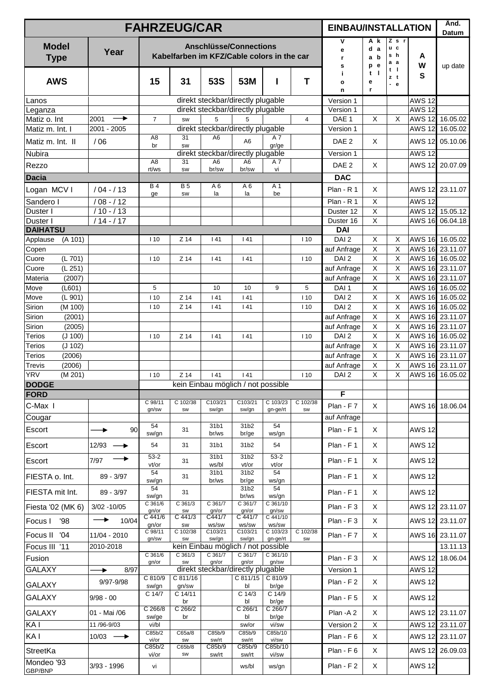|                                       |                                 | <b>FAHRZEUG/CAR</b>      |                                            |                           |                                             |                           |            | <b>EINBAU/INSTALLATION</b>      |                                           |                                |                                | Änd.<br>Datum                      |
|---------------------------------------|---------------------------------|--------------------------|--------------------------------------------|---------------------------|---------------------------------------------|---------------------------|------------|---------------------------------|-------------------------------------------|--------------------------------|--------------------------------|------------------------------------|
| <b>Model</b><br><b>Type</b>           | Year                            |                          | Kabelfarben im KFZ/Cable colors in the car |                           | <b>Anschlüsse/Connections</b>               |                           |            | ۷<br>е<br>r.<br>s               | A k<br>d a<br>a b<br>p e                  | $Z$ s $r$<br>u c<br>s h<br>a a | A<br>W                         | up date                            |
| <b>AWS</b>                            |                                 | 15                       | 31                                         | 53S                       | 53M                                         |                           | T          | j.<br>o<br>n                    | $t \mid$<br>е<br>r                        | $t$  <br>zt<br>$-$ e           | S                              |                                    |
| Lanos                                 |                                 |                          |                                            |                           | direkt steckbar/directly plugable           |                           |            | Version 1                       |                                           |                                | <b>AWS 12</b>                  |                                    |
| Leganza                               | $\rightarrow$                   |                          |                                            |                           | direkt steckbar/directly plugable           |                           |            | Version 1                       |                                           |                                | <b>AWS 12</b>                  |                                    |
| Matiz o. Int<br>Matiz m. Int. I       | 2001<br>2001 - 2005             | $\overline{7}$           | <b>SW</b>                                  | 5                         | 5<br>direkt steckbar/directly plugable      |                           | 4          | DAE 1<br>Version 1              | X                                         | X                              | <b>AWS 12</b><br><b>AWS 12</b> | 16.05.02<br>16.05.02               |
| Matiz m. Int. II                      | /06                             | A <sub>8</sub>           | 31                                         | A <sub>6</sub>            | A <sub>6</sub>                              | A 7                       |            | DAE <sub>2</sub>                | X                                         |                                |                                | AWS 12 05.10.06                    |
| Nubira                                |                                 | br                       | <b>SW</b>                                  |                           | direkt steckbar/directly plugable           | gr/ge                     |            | Version 1                       |                                           |                                | <b>AWS 12</b>                  |                                    |
| Rezzo                                 |                                 | A <sub>8</sub>           | 31                                         | A6                        | A <sub>6</sub>                              | A 7                       |            | DAE <sub>2</sub>                | X                                         |                                | <b>AWS 12</b>                  | 20.07.09                           |
| <b>Dacia</b>                          |                                 | rt/ws                    | SW                                         | br/sw                     | br/sw                                       | vi                        |            | <b>DAC</b>                      |                                           |                                |                                |                                    |
| Logan MCVI                            | $/04 - / 13$                    | <b>B4</b>                | <b>B5</b>                                  | A6                        | A <sub>6</sub>                              | A 1                       |            | $Plan - R 1$                    | X                                         |                                | <b>AWS 12</b>                  | 23.11.07                           |
| Sandero I                             | $/08 - / 12$                    | ge                       | SW                                         | la                        | la                                          | be                        |            | Plan - R 1                      | $\mathsf X$                               |                                | <b>AWS 12</b>                  |                                    |
| Duster I                              | $/10 - / 13$                    |                          |                                            |                           |                                             |                           |            | Duster 12                       | $\overline{\mathsf{X}}$                   |                                | <b>AWS 12</b>                  | 15.05.12                           |
| Duster I                              | $/14 - /17$                     |                          |                                            |                           |                                             |                           |            | Duster 16                       | $\overline{X}$                            |                                | <b>AWS 16</b>                  | 06.04.18                           |
| <b>DAIHATSU</b>                       |                                 |                          |                                            |                           |                                             |                           |            | <b>DAI</b>                      |                                           |                                |                                |                                    |
| Applause<br>(A 101)                   |                                 | 110                      | Z 14                                       | 141                       | 141                                         |                           | 110        | DAI <sub>2</sub>                | X                                         | X                              |                                | AWS 16 16.05.02                    |
| Copen<br>(L 701)<br>Cuore             |                                 | 110                      | Z 14                                       | 141                       | 141                                         |                           | 110        | auf Anfrage<br>DAI <sub>2</sub> | $\mathsf X$<br>$\pmb{\times}$             | $\mathsf X$<br>X               |                                | AWS 16 23.11.07<br>AWS 16 16.05.02 |
| (L 251)<br>Cuore                      |                                 |                          |                                            |                           |                                             |                           |            | auf Anfrage                     | $\mathsf X$                               | X                              |                                | AWS 16 23.11.07                    |
| Materia<br>(2007)                     |                                 |                          |                                            |                           |                                             |                           |            | auf Anfrage                     | $\mathsf X$                               | $\times$                       |                                | AWS 16 23.11.07                    |
| Move<br>(L601)                        |                                 | 5                        |                                            | 10                        | 10                                          | 9                         | 5          | DAI <sub>1</sub>                | X                                         |                                |                                | AWS 16 16.05.02                    |
| Move<br>(L 901)                       |                                 | 110                      | $Z$ 14                                     | 141                       | 141                                         |                           | 110        | DAI <sub>2</sub>                | $\overline{\mathsf{x}}$                   | X                              |                                | AWS 16 16.05.02                    |
| Sirion<br>(M 100)<br>Sirion<br>(2001) |                                 | 110                      | Z 14                                       | 141                       | 141                                         |                           | 110        | DAI <sub>2</sub><br>auf Anfrage | $\overline{\mathsf{x}}$<br>$\overline{X}$ | $\sf X$<br>$\mathsf X$         |                                | AWS 16 16.05.02<br>AWS 16 23.11.07 |
| Sirion<br>(2005)                      |                                 |                          |                                            |                           |                                             |                           |            | auf Anfrage                     | $\overline{X}$                            | $\mathsf X$                    |                                | AWS 16 23.11.07                    |
| <b>Terios</b><br>(J 100)              |                                 | 110                      | $Z$ 14                                     | 141                       | 141                                         |                           | 110        | DAI <sub>2</sub>                | $\overline{\mathsf{x}}$                   | $\overline{X}$                 |                                | AWS 16 16.05.02                    |
| <b>Terios</b><br>(J 102)              |                                 |                          |                                            |                           |                                             |                           |            | auf Anfrage                     | X                                         | $\mathsf X$                    |                                | AWS 16 23.11.07                    |
| <b>Terios</b><br>(2006)               |                                 |                          |                                            |                           |                                             |                           |            | auf Anfrage                     | $\mathsf X$                               | $\sf X$                        |                                | AWS 16 23.11.07                    |
| (2006)<br>Trevis                      |                                 |                          |                                            |                           |                                             |                           |            | auf Anfrage                     | $\mathsf X$                               | $\mathsf X$                    |                                | AWS 16 23.11.07                    |
| <b>YRV</b><br>(M 201)                 |                                 | 110                      | $Z$ 14                                     | 141                       | 141<br>kein Einbau möglich / not possible   |                           | 110        | DAI <sub>2</sub>                | X                                         | $\sf X$                        | <b>AWS 16</b>                  | 16.05.02                           |
| <b>DODGE</b><br><b>FORD</b>           |                                 |                          |                                            |                           |                                             |                           |            | F                               |                                           |                                |                                |                                    |
| C-Max I                               |                                 | C 98/11                  | C 102/38                                   | C103/21                   | C103/21                                     | C 103/23                  | C 102/38   | Plan - F 7                      | X                                         |                                |                                | AWS 16 18.06.04                    |
| Cougar                                |                                 | gn/sw                    | SW                                         | sw/gn                     | sw/gn                                       | gn-ge/rt                  | <b>SW</b>  | auf Anfrage                     |                                           |                                |                                |                                    |
| Escort                                | 90                              | 54                       | 31                                         | 31b1                      | 31b2                                        | 54                        |            | Plan - F1                       | X                                         |                                | <b>AWS 12</b>                  |                                    |
| Escort                                | $12/93$ $\longrightarrow$       | sw/gn<br>54              | 31                                         | br/ws<br>31b1             | br/ge<br>31b2                               | ws/gn<br>54               |            | Plan - F 1                      | X                                         |                                | <b>AWS 12</b>                  |                                    |
|                                       |                                 | $53 - 2$                 |                                            | 31b1                      | 31b2                                        | $53 - 2$                  |            |                                 |                                           |                                |                                |                                    |
| Escort                                | 7/97                            | vt/or<br>54              | 31                                         | ws/bl<br>31 <sub>b1</sub> | vt/or<br>31b2                               | vt/or<br>54               |            | Plan - F1                       | X                                         |                                | <b>AWS 12</b>                  |                                    |
| FIESTA o. Int.                        | 89 - 3/97                       | sw/gn<br>54              | 31                                         | br/ws                     | br/ge<br>31b2                               | ws/gn<br>54               |            | Plan - F1                       | X                                         |                                | <b>AWS 12</b>                  |                                    |
| FIESTA mit Int.                       | 89 - 3/97                       | sw/gn<br>$C$ 361/6       | 31<br>$C$ 361/3                            | C 361/7                   | br/ws<br>$C$ 361/7                          | ws/gn<br>$C$ 361/10       |            | Plan - F1                       | X                                         |                                | <b>AWS 12</b>                  |                                    |
| Fiesta '02 (MK 6)                     | $3/02 - 10/05$<br>$\rightarrow$ | gn/or<br>$C$ 441/6       | SW<br>$C$ 441/3                            | gn/or<br>C441/7           | gn/or<br>C 441/7                            | gn/sw<br>C 441/10         |            | Plan - F 3                      | X                                         |                                |                                | AWS 12 23.11.07                    |
| '98<br>Focus I<br>Focus II<br>'04     | 10/04<br>11/04 - 2010           | gn/or<br>C 98/11         | SW<br>C 102/38                             | ws/sw<br>C103/21          | ws/sw<br>$C$ 103/21                         | ws/sw<br>C 103/23         | $C$ 102/38 | Plan - F 3<br>Plan - F 7        | X<br>X                                    |                                |                                | AWS 12 23.11.07<br>AWS 16 23.11.07 |
| Focus III '11                         | 2010-2018                       | gn/sw                    | SW                                         | sw/gn                     | sw/gn<br>kein Einbau möglich / not possible | gn-ge/rt                  | SW         |                                 |                                           |                                |                                | 13.11.13                           |
| Fusion                                |                                 | C 361/6                  | $C$ 361/3                                  | C 361/7                   | $C$ 361/7                                   | C 361/10                  |            | Plan - F 3                      | X                                         |                                | <b>AWS 12</b>                  | 18.06.04                           |
| <b>GALAXY</b>                         | 8/97<br>٠                       | gn/or                    | SW                                         | gn/or                     | gn/or<br>direkt steckbar/directly plugable  | gn/sw                     |            | Version 1                       |                                           |                                | <b>AWS 12</b>                  |                                    |
| <b>GALAXY</b>                         | 9/97-9/98                       | C 810/9<br>sw/gn         | C 811/16<br>gn/sw                          |                           | C 811/15<br>bl                              | C 810/9<br>br/ge          |            | Plan - F 2                      | X                                         |                                | <b>AWS 12</b>                  |                                    |
| <b>GALAXY</b>                         | $9/98 - 00$                     | C 14/7                   | C 14/11<br>br                              |                           | $C$ 14/3<br>bl                              | $C$ 14/9<br>br/ge         |            | Plan - F 5                      | X                                         |                                | <b>AWS 12</b>                  |                                    |
| <b>GALAXY</b>                         | 01 - Mai /06                    | C 266/8                  | $C$ 266/2                                  |                           | $C$ 266/1                                   | $C$ 266/7                 |            | Plan - A 2                      | X                                         |                                |                                | AWS 12 23.11.07                    |
| KA I                                  | 11/96-9/03                      | sw/ge<br>vi/bl           | br                                         |                           | bl<br>sw/or                                 | br/ge<br>vi/sw            |            | Version 2                       | $\mathsf X$                               |                                |                                | AWS 12 23.11.07                    |
| KA I                                  | $10/03 \rightarrow$             | C85b/2                   | C65a/8                                     | C85b/9                    | C85b/9                                      | C85b/10                   |            | Plan - F 6                      | X                                         |                                | <b>AWS 12</b>                  | 23.11.07                           |
| StreetKa                              |                                 | vi/or<br>C85b/2<br>vi/or | SW<br>C65b/8<br>SW                         | sw/rt<br>C85b/9<br>sw/rt  | sw/rt<br>C85b/9<br>sw/rt                    | vi/sw<br>C85b/10<br>vi/sw |            | Plan - F 6                      | X                                         |                                |                                | AWS 12 26.09.03                    |
| Mondeo '93<br>GBP/BNP                 | 3/93 - 1996                     | vi                       |                                            |                           | ws/bl                                       | ws/gn                     |            | $Plan - F2$                     | X                                         |                                | <b>AWS 12</b>                  |                                    |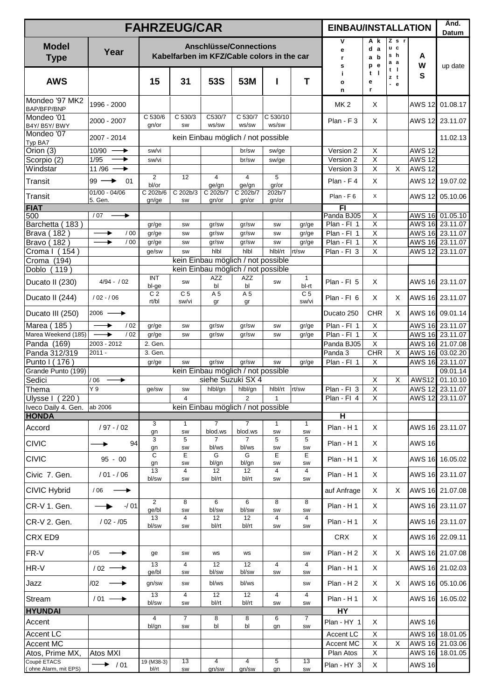|                                      |                                                   | <b>FAHRZEUG/CAR</b>     |                         |                                                                             |                           |                   |                         | <b>EINBAU/INSTALLATION</b> |                                           |                            |               | Änd.<br>Datum                      |
|--------------------------------------|---------------------------------------------------|-------------------------|-------------------------|-----------------------------------------------------------------------------|---------------------------|-------------------|-------------------------|----------------------------|-------------------------------------------|----------------------------|---------------|------------------------------------|
| <b>Model</b><br><b>Type</b>          | Year                                              |                         |                         | <b>Anschlüsse/Connections</b><br>Kabelfarben im KFZ/Cable colors in the car |                           |                   |                         | ۷<br>е<br>r.<br>s          | Αk<br>d a<br>a b<br>p e                   | Z s r<br>u c<br>s h<br>а а | A<br>W        | up date                            |
| <b>AWS</b>                           |                                                   | 15                      | 31                      | 53S                                                                         | 53M                       | ı                 | T                       | j.<br>o<br>n               | t<br>- 1<br>е<br>r                        | t I<br>zt<br>$-e$          | S             |                                    |
| Mondeo '97 MK2<br>BAP/BFP/BNP        | 1996 - 2000                                       |                         |                         |                                                                             |                           |                   |                         | MK <sub>2</sub>            | Χ                                         |                            | <b>AWS 12</b> | 01.08.17                           |
| Mondeo '01<br>B4Y/B5Y/BWY            | 2000 - 2007                                       | C 530/6<br>gn/or        | C 530/3<br>SW           | C530/7<br>ws/sw                                                             | C 530/7<br>ws/sw          | C 530/10<br>ws/sw |                         | $Plan - F_3$               | X                                         |                            | <b>AWS 12</b> | 23.11.07                           |
| Mondeo '07<br>Typ BA7                | 2007 - 2014                                       |                         |                         | kein Einbau möglich / not possible                                          |                           |                   |                         |                            |                                           |                            |               | 11.02.13                           |
| Orion (3)                            | 10/90<br>→                                        | sw/vi                   |                         |                                                                             | br/sw                     | sw/ge             |                         | Version 2                  | $\overline{X}$                            |                            | <b>AWS 12</b> |                                    |
| Scorpio (2)<br>Windstar              | 1/95<br>→                                         | sw/vi                   |                         |                                                                             | br/sw                     | sw/ge             |                         | Version 2                  | $\overline{X}$                            |                            | <b>AWS 12</b> |                                    |
| Transit                              | 11/96 $\longrightarrow$<br>$99 \rightarrow$<br>01 | 2<br>bl/or              | 12                      | $\overline{4}$<br>ge/gn                                                     | $\overline{4}$<br>ge/gn   | 5<br>gr/or        |                         | Version 3<br>Plan - F4     | X<br>X                                    | X                          | <b>AWS 12</b> | AWS 12 19.07.02                    |
| Transit                              | $01/00 - 04/06$<br>5. Gen.                        | C 202b/6                | C 202b/3                | C 202b/7                                                                    | C 202b/7                  | 202b/7            |                         | Plan - F 6                 | X                                         |                            |               | AWS 12 05.10.06                    |
| <b>FIAT</b>                          |                                                   | gn/ge                   | SW                      | gn/or                                                                       | gn/or                     | gn/or             |                         | F1                         |                                           |                            |               |                                    |
| 500                                  | /07<br>▸                                          |                         |                         |                                                                             |                           |                   |                         | Panda BJ05                 | X                                         |                            |               | AWS 16 01.05.10                    |
| Barchetta (183)                      |                                                   | gr/ge                   | SW                      | gr/sw                                                                       | gr/sw                     | SW                | gr/ge                   | Plan - Fl 1                | $\overline{\mathsf{X}}$                   |                            |               | AWS 16 23.11.07                    |
| Brava (182)<br>Bravo (182)           | →<br>/00<br>/00                                   | gr/ge                   | SW                      | gr/sw<br>gr/sw                                                              | gr/sw<br>gr/sw            | SW<br>SW          | gr/ge                   | Plan - Fl 1<br>Plan - Fl 1 | $\overline{\mathsf{X}}$<br>$\overline{x}$ |                            |               | AWS 16 23.11.07<br>AWS 16 23.11.07 |
| Croma I (154)                        |                                                   | gr/ge<br>ge/sw          | SW<br>SW                | hlbl                                                                        | hlbl                      | hlbl/rt           | gr/ge<br>rt/sw          | Plan - Fl 3                | $\overline{x}$                            |                            |               | AWS 12 23.11.07                    |
| Croma (194)                          |                                                   |                         |                         | kein Einbau möglich / not possible                                          |                           |                   |                         |                            |                                           |                            |               |                                    |
| Doblo (119)                          |                                                   |                         |                         | kein Einbau möglich / not possible                                          |                           |                   |                         |                            |                                           |                            |               |                                    |
| Ducato II (230)                      | $4/94 - / 02$                                     | <b>INT</b><br>bl-ge     | SW                      | <b>AZZ</b><br>bl                                                            | <b>AZZ</b><br>bl          | SW                | $\mathbf{1}$<br>bl-rt   | Plan - Fl 5                | X                                         |                            |               | AWS 16 23.11.07                    |
| Ducato II (244)                      | $/02 - /06$                                       | C <sub>2</sub><br>rt/bl | C <sub>5</sub><br>sw/vi | A 5<br>gr                                                                   | A 5<br>gr                 |                   | C <sub>5</sub><br>sw/vi | Plan - Fl 6                | X                                         | Χ                          |               | AWS 16 23.11.07                    |
| Ducato III (250)                     | $2006 \longrightarrow$                            |                         |                         |                                                                             |                           |                   |                         | Ducato 250                 | <b>CHR</b>                                | X                          |               | AWS 16 09.01.14                    |
| Marea (185                           | ▸<br>/02                                          | gr/ge                   | SW                      | gr/sw                                                                       | gr/sw                     | SW                | gr/ge                   | Plan - Fl 1                | $\overline{\mathsf{x}}$                   |                            |               | AWS 16 23.11.07                    |
| Marea Weekend (185)                  | ▸<br>/02                                          | gr/ge                   | SW                      | gr/sw                                                                       | gr/sw                     | SW                | gr/ge                   | Plan - Fl 1                | $\mathsf X$                               |                            |               | AWS 16 23.11.07                    |
| Panda (169)<br>Panda 312/319         | 2003 - 2012<br>$2011 -$                           | 2. Gen.<br>3. Gen.      |                         |                                                                             |                           |                   |                         | Panda BJ05<br>Panda 3      | $\mathsf X$<br><b>CHR</b>                 | X                          |               | AWS 16 21.07.08<br>AWS 16 03.02.20 |
| Punto I (176)                        |                                                   | gr/ge                   | SW                      | gr/sw                                                                       | gr/sw                     | SW                | gr/ge                   | Plan - Fl 1                | X                                         |                            |               | AWS 16 23.11.07                    |
| Grande Punto (199)                   |                                                   |                         |                         | kein Einbau möglich / not possible                                          |                           |                   |                         |                            |                                           |                            |               | 09.01.14                           |
| Sedici                               | 06<br>۰                                           |                         |                         | siehe Suzuki SX 4                                                           |                           |                   |                         |                            | $\mathsf X$                               | $\mathsf X$                | <b>AWS12</b>  | 01.10.10                           |
| <b>Thema</b>                         | Y 9                                               | ge/sw                   | SW                      |                                                                             | hlbl/gn hlbl/gn           | hlbl/rt           | rt/sw                   | Plan - Fl 3                | X                                         |                            |               | AWS 12 23.11.07                    |
| Ulysse I (220)                       |                                                   |                         | 4                       |                                                                             | $\overline{2}$            | $\mathbf{1}$      |                         | $Plan - Fl$ 4              | X                                         |                            |               | AWS 12 23.11.07                    |
| Iveco Daily 4. Gen.<br><b>HONDA</b>  | ab 2006                                           |                         |                         | kein Einbau möglich / not possible                                          |                           |                   |                         | $\overline{\mathsf{H}}$    |                                           |                            |               |                                    |
|                                      |                                                   | 3                       | 1                       | 7                                                                           | $\overline{7}$            | $\mathbf{1}$      | $\mathbf{1}$            |                            |                                           |                            |               |                                    |
| Accord                               | $/97 - / 02$                                      | gn<br>3                 | SW<br>5                 | blod.ws<br>$\overline{7}$                                                   | blod.ws<br>$\overline{7}$ | SW<br>5           | SW<br>5                 | Plan - H1                  | X                                         |                            |               | AWS 16 23.11.07                    |
| <b>CIVIC</b>                         | 94                                                | gn<br>С                 | SW<br>E                 | bl/ws<br>G                                                                  | bl/ws<br>G                | SW<br>Е           | SW<br>E                 | Plan - H1                  | X                                         |                            | <b>AWS 16</b> |                                    |
| <b>CIVIC</b>                         | $95 - 00$                                         | gn<br>13                | SW<br>4                 | bl/gn                                                                       | bl/gn<br>12               | SW<br>4           | SW<br>4                 | Plan - H 1                 | X                                         |                            |               | AWS 16 16.05.02                    |
| Civic 7. Gen.                        | $/01 - /06$                                       | bl/sw                   | SW                      | 12<br>bl/rt                                                                 | bl/rt                     | SW                | SW                      | Plan - H1                  | X                                         |                            |               | AWS 16 23.11.07                    |
| <b>CIVIC Hybrid</b>                  | /06                                               | 2                       | 8                       | 6                                                                           | 6                         | 8                 | 8                       | auf Anfrage                | X                                         | X                          |               | AWS 16 21.07.08                    |
| CR-V 1. Gen.                         | $-101$                                            | ge/bl<br>13             | SW<br>4                 | bl/sw<br>12                                                                 | bl/sw<br>12               | SW<br>4           | SW                      | Plan - H1                  | X                                         |                            |               | AWS 16 23.11.07                    |
| CR-V 2. Gen.                         | $/02 - /05$                                       | bl/sw                   | SW                      | bl/rt                                                                       | bl/rt                     | SW                | 4<br>SW                 | Plan - H 1                 | X                                         |                            |               | AWS 16 23.11.07                    |
| CRX ED9                              |                                                   |                         |                         |                                                                             |                           |                   |                         | <b>CRX</b>                 | X                                         |                            |               | AWS 16 22.09.11                    |
| FR-V                                 | / 05                                              | ge<br>13                | SW<br>4                 | WS<br>12                                                                    | ws<br>12                  | $\overline{4}$    | SW<br>4                 | Plan - H2                  | X                                         | X                          |               | AWS 16 21.07.08                    |
| HR-V                                 | $/02$ $\longrightarrow$                           | ge/bl                   | SW                      | bl/sw                                                                       | bl/sw                     | SW                | SW                      | Plan - H1                  | X                                         |                            |               | AWS 16 21.02.03                    |
| Jazz                                 | /02                                               | gn/sw<br>13             | SW<br>$\overline{4}$    | bl/ws<br>12                                                                 | bl/ws<br>12               | $\overline{4}$    | SW<br>4                 | Plan - H2                  | X                                         | Χ                          |               | AWS 16 05.10.06                    |
| Stream                               | $/01 \longrightarrow$                             | bl/sw                   | SW                      | bl/rt                                                                       | bl/rt                     | SW                | SW                      | Plan - H1                  | X                                         |                            |               | AWS 16 16.05.02                    |
| <b>HYUNDAI</b>                       |                                                   |                         |                         |                                                                             |                           |                   |                         | HY                         |                                           |                            |               |                                    |
| Accent                               |                                                   | 4<br>bl/gn              | 7<br>SW                 | 8<br>bl                                                                     | 8<br>bl                   | 6<br>gn           | $\overline{7}$<br>SW    | Plan - HY 1                | X                                         |                            | <b>AWS 16</b> |                                    |
| <b>Accent LC</b>                     |                                                   |                         |                         |                                                                             |                           |                   |                         | Accent LC                  | X                                         |                            |               | AWS 16 18.01.05                    |
| Accent MC                            |                                                   |                         |                         |                                                                             |                           |                   |                         | Accent MC                  | X                                         | X                          |               | AWS 16 21.03.06                    |
| Atos, Prime MX,                      | Atos MXI                                          |                         |                         |                                                                             |                           |                   |                         | Plan Atos                  | X                                         |                            |               | AWS 16 18.01.05                    |
| Coupé ETACS<br>(ohne Alarm, mit EPS) | $\rightarrow$ /01                                 | 19 (M38-3)<br>bl/rt     | 13<br>SW                | $\overline{4}$<br>gn/sw                                                     | $\overline{4}$<br>gn/sw   | 5<br>gn           | 13<br>SW                | Plan - HY 3                | X                                         |                            | <b>AWS 16</b> |                                    |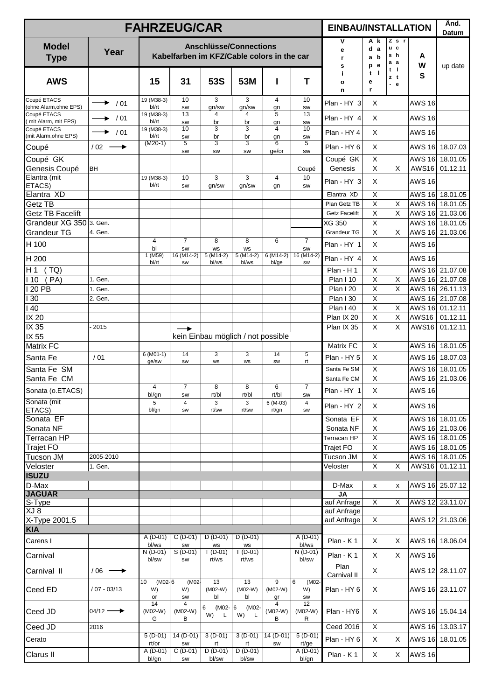|                                       |                       | <b>FAHRZEUG/CAR</b>               |                      |                               |                                                                             |                                       |                        | <b>EINBAU/INSTALLATION</b>     |                             |                                |               | Änd.<br>Datum                      |
|---------------------------------------|-----------------------|-----------------------------------|----------------------|-------------------------------|-----------------------------------------------------------------------------|---------------------------------------|------------------------|--------------------------------|-----------------------------|--------------------------------|---------------|------------------------------------|
| <b>Model</b><br><b>Type</b>           | Year                  |                                   |                      |                               | <b>Anschlüsse/Connections</b><br>Kabelfarben im KFZ/Cable colors in the car |                                       |                        | ۷<br>е<br>r.<br>s              | A k<br>d a<br>a b<br>e<br>p | $Z$ s $r$<br>u c<br>s h<br>а а | A<br>W        | up date                            |
| <b>AWS</b>                            |                       | 15                                | 31                   | <b>53S</b>                    | 53M                                                                         |                                       | Т                      | j.<br>o<br>n                   | $t \mid$<br>е<br>r          | t I<br>zt<br>$-e$              | S             |                                    |
| Coupé ETACS<br>(ohne Alarm, ohne EPS) | ▸<br>/01              | 19 (M38-3)<br>bl/rt               | 10<br><b>SW</b>      | $\overline{3}$<br>gn/sw       | 3<br>gn/sw                                                                  | $\overline{4}$<br>gn                  | 10<br><b>SW</b>        | Plan - HY 3                    | X                           |                                | <b>AWS 16</b> |                                    |
| Coupé ETACS<br>mit Alarm, mit EPS)    | / 01                  | 19 (M38-3)<br>bl/rt               | 13<br>SW             | 4<br>br                       | 4<br>br                                                                     | 5<br>gn                               | 13<br>SW               | Plan - HY 4                    | X                           |                                | <b>AWS 16</b> |                                    |
| Coupé ETACS                           | / 01                  | 19 (M38-3)                        | 10                   | 3                             | 3                                                                           | 4                                     | 10                     | Plan - HY 4                    | X                           |                                | <b>AWS 16</b> |                                    |
| (mit Alarm, ohne EPS)<br>Coupé        | $/02 -$<br>→          | bl/rt<br>$(M20-1)$                | SW<br>5              | br<br>3                       | br<br>3                                                                     | gn<br>6                               | SW<br>5                | Plan - HY 6                    | X                           |                                |               | AWS 16 18.07.03                    |
| Coupé GK                              |                       |                                   | SW                   | SW                            | SW                                                                          | ge/or                                 | SW                     | Coupé GK                       | X                           |                                |               | AWS 16 18.01.05                    |
| Genesis Coupé                         | <b>BH</b>             |                                   |                      |                               |                                                                             |                                       | Coupé                  | Genesis                        | X                           | X                              | <b>AWS16</b>  | 01.12.11                           |
| Elantra (mit                          |                       | 19 (M38-3)                        | 10                   | 3                             | 3                                                                           | $\overline{4}$                        | 10                     | Plan - HY 3                    | X                           |                                | <b>AWS 16</b> |                                    |
| ETACS)                                |                       | bl/rt                             | SW                   | gn/sw                         | gn/sw                                                                       | gn                                    | <b>SW</b>              |                                |                             |                                |               |                                    |
| Elantra XD<br><b>Getz TB</b>          |                       |                                   |                      |                               |                                                                             |                                       |                        | Elantra XD<br>Plan Getz TB     | X<br>X                      |                                |               | AWS 16 18.01.05                    |
| <b>Getz TB Facelift</b>               |                       |                                   |                      |                               |                                                                             |                                       |                        | <b>Getz Facelift</b>           | X                           | X<br>X                         |               | AWS 16 18.01.05<br>AWS 16 21.03.06 |
| Grandeur XG 350 3. Gen.               |                       |                                   |                      |                               |                                                                             |                                       |                        | XG 350                         | X                           |                                |               | AWS 16 18.01.05                    |
| <b>Grandeur TG</b>                    | 4. Gen.               |                                   |                      |                               |                                                                             |                                       |                        | <b>Grandeur TG</b>             | $\mathsf{X}$                | X                              |               | AWS 16 21.03.06                    |
| H 100                                 |                       | 4                                 | $\overline{7}$       | 8                             | 8                                                                           | 6                                     | $\overline{7}$         | Plan - HY 1                    | X                           |                                | <b>AWS 16</b> |                                    |
|                                       |                       | bl<br>1 (M59)                     | SW<br>16 (M14-2)     | <b>WS</b><br>$5(M14-2)$       | <b>WS</b><br>$5(M14-2)$                                                     | $6(M14-2)$                            | SW<br>16 (M14-2)       | Plan - HY 4                    | X                           |                                | <b>AWS 16</b> |                                    |
| H 200                                 |                       | bl/rt                             | SW                   | bl/ws                         | bl/ws                                                                       | bl/ge                                 | <b>SW</b>              |                                |                             |                                |               |                                    |
| H 1<br>(TQ)<br>110<br>(PA)            | 1. Gen.               |                                   |                      |                               |                                                                             |                                       |                        | Plan - H 1<br><b>Plan I 10</b> | X<br>$\mathsf X$            | X                              |               | AWS 16 21.07.08<br>AWS 16 21.07.08 |
| 20 PB                                 | 1. Gen.               |                                   |                      |                               |                                                                             |                                       |                        | <b>Plan I 20</b>               | X                           | $\sf X$                        |               | AWS 16 26.11.13                    |
| 30                                    | 2. Gen.               |                                   |                      |                               |                                                                             |                                       |                        | <b>Plan I 30</b>               | X                           |                                | <b>AWS 16</b> | 21.07.08                           |
| 40                                    |                       |                                   |                      |                               |                                                                             |                                       |                        | Plan I 40                      | $\mathsf X$                 | X                              | <b>AWS 16</b> | 01.12.11                           |
| IX 20                                 |                       |                                   |                      |                               |                                                                             |                                       |                        | Plan IX 20                     | $\mathsf X$                 | X                              | <b>AWS16</b>  | 01.12.11                           |
| IX 35                                 | 2015                  |                                   | ▸                    |                               |                                                                             |                                       |                        | Plan IX 35                     | X                           | X                              | <b>AWS16</b>  | 01.12.11                           |
| IX 55                                 |                       |                                   |                      |                               | kein Einbau möglich / not possible                                          |                                       |                        |                                |                             |                                |               |                                    |
| <b>Matrix FC</b>                      |                       |                                   |                      |                               |                                                                             |                                       |                        | Matrix FC                      | X                           |                                |               | AWS 16 18.01.05                    |
| Santa Fe                              | /01                   | $6(M01-1)$<br>ge/sw               | 14<br>SW             | 3<br>ws                       | 3<br>ws                                                                     | 14<br>SW                              | 5<br>rt                | Plan - HY 5                    | X                           |                                |               | AWS 16 18.07.03                    |
| Santa Fe SM                           |                       |                                   |                      |                               |                                                                             |                                       |                        | Santa Fe SM                    | X                           |                                |               | AWS 16 18.01.05                    |
| Santa Fe CM                           |                       |                                   |                      |                               |                                                                             |                                       |                        | Santa Fe CM                    | $\pmb{\times}$              |                                |               | AWS 16 21.03.06                    |
| Sonata (o.ETACS)                      |                       | 4<br>bl/gn                        | $\overline{7}$<br>SW | 8<br>rt/bl                    | 8<br>rt/bl                                                                  | 6<br>rt/bl                            | $\overline{7}$<br>SW   | Plan - HY 1                    | $\mathsf X$                 |                                | <b>AWS 16</b> |                                    |
| Sonata (mit<br>ETACS)                 |                       | 5<br>bl/gn                        | 4<br>SW              | 3<br>rt/sw                    | 3<br>rt/sw                                                                  | $6(M-03)$<br>rt/gn                    | 4<br><b>SW</b>         | Plan - HY 2                    | X                           |                                | <b>AWS 16</b> |                                    |
| Sonata EF                             |                       |                                   |                      |                               |                                                                             |                                       |                        | Sonata EF                      | X                           |                                |               | AWS 16 18.01.05                    |
| Sonata NF                             |                       |                                   |                      |                               |                                                                             |                                       |                        | Sonata NF                      | X                           |                                |               | AWS 16 21.03.06                    |
| Terracan HP                           |                       |                                   |                      |                               |                                                                             |                                       |                        | Terracan HP                    | X                           |                                |               | AWS 16 18.01.05                    |
| <b>Trajet FO</b>                      |                       |                                   |                      |                               |                                                                             |                                       |                        | Trajet FO                      | $\mathsf X$                 |                                |               | AWS 16 18.01.05                    |
| Tucson JM                             | 2005-2010             |                                   |                      |                               |                                                                             |                                       |                        | Tucson JM                      | X                           |                                |               | AWS 16 18.01.05                    |
| Veloster                              | 1. Gen.               |                                   |                      |                               |                                                                             |                                       |                        | Veloster                       | $\pmb{\times}$              | X                              | <b>AWS16</b>  | 01.12.11                           |
| <b>ISUZU</b>                          |                       |                                   |                      |                               |                                                                             |                                       |                        |                                |                             |                                |               |                                    |
| D-Max<br><b>JAGUAR</b>                |                       |                                   |                      |                               |                                                                             |                                       |                        | D-Max<br><b>JA</b>             | X                           | x                              |               | AWS 16 25.07.12                    |
| S-Type                                |                       |                                   |                      |                               |                                                                             |                                       |                        | auf Anfrage                    | X                           | Χ                              |               | AWS 12 23.11.07                    |
| XJ 8                                  |                       |                                   |                      |                               |                                                                             |                                       |                        | auf Anfrage                    |                             |                                |               |                                    |
| X-Type 2001.5                         |                       |                                   |                      |                               |                                                                             |                                       |                        | auf Anfrage                    | X                           |                                |               | AWS 12 21.03.06                    |
| <b>KIA</b>                            |                       |                                   |                      |                               |                                                                             |                                       |                        |                                |                             |                                |               |                                    |
| Carens I                              |                       | $A (D-01)$<br>bl/ws               | $C(D-01)$<br>SW      | $D(D-01)$<br><b>WS</b>        | $D(D-01)$<br>WS                                                             |                                       | $A(D-01)$<br>bl/ws     | Plan - K1                      | X                           | X                              |               | AWS 16 18.06.04                    |
| Carnival                              |                       | $N(D-01)$<br>bl/sw                | $S(D-01)$<br>SW      | $\overline{T(D-01)}$<br>rt/ws | $T(D-01)$<br>rt/ws                                                          |                                       | $N(D-01)$<br>bl/sw     | Plan - K1                      | X                           | $\times$                       | <b>AWS 16</b> |                                    |
| Carnival II                           | $/06 \longrightarrow$ |                                   |                      |                               |                                                                             |                                       |                        | Plan<br>Carnival II            | X                           |                                |               | AWS 12 28.11.07                    |
| Ceed ED                               | / 07 - 03/13          | (M02.6)<br>10<br>W)<br>or         | (M02-<br>W)<br>SW    | 13<br>$(M02-W)$<br>bl         | 13<br>$(M02-W)$<br>bl                                                       | 9<br>$(M02-W)$<br>$rac{\text{gr}}{4}$ | 6<br>(M02-<br>W)<br>SW | Plan - HY 6                    | X                           |                                |               | AWS 16 23.11.07                    |
| Ceed JD                               | $04/12 \rightarrow$   | $\overline{14}$<br>$(M02-W)$<br>G | 4<br>$(M02-W)$<br>в  | $(M02 - 6)$<br>6<br>W)<br>L   | (M02-<br>W)<br>L                                                            | $(M02-W)$<br>в                        | 12<br>$(M02-W)$<br>R   | Plan - HY6                     | X                           |                                |               | AWS 16 15.04.14                    |
| Ceed JD                               | 2016                  |                                   |                      |                               |                                                                             |                                       |                        | <b>Ceed 2016</b>               | X                           |                                |               | AWS 16 13.03.17                    |
| Cerato                                |                       | $5(D-01)$                         | 14 (D-01)            | $\overline{3}$ (D-01)         | $3(D-01)$                                                                   | 14 (D-01)                             | $\overline{5}$ (D-01)  | Plan - HY 6                    | X                           | X                              |               | AWS 16 18.01.05                    |
|                                       |                       | rt/or<br>$A(D-01)$                | SW<br>$C(D-01)$      | rt<br>$D(D-01)$               | rt<br>$D(D-01)$                                                             | SW                                    | rt/ge<br>$A(D-01)$     |                                |                             |                                |               |                                    |
| Clarus II                             |                       | bl/gn                             | SW                   | bl/sw                         | bl/sw                                                                       |                                       | bl/gn                  | Plan - K1                      | X                           | X                              | <b>AWS 16</b> |                                    |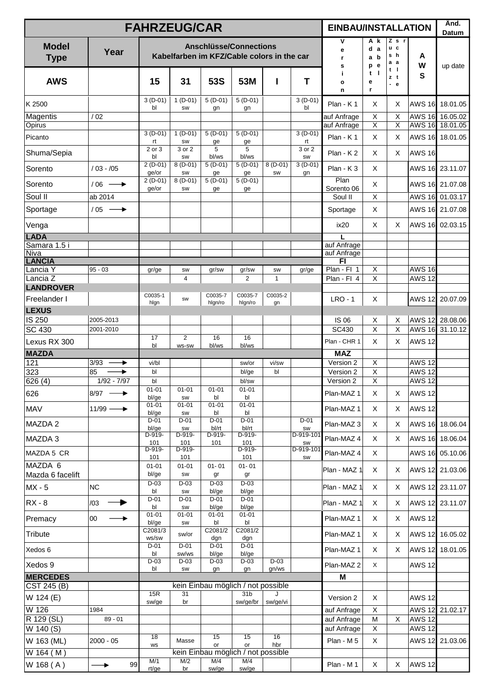|                                                      |                          |    | <b>FAHRZEUG/CAR</b>          |                           |                                                                             |                              |                    |                                | <b>EINBAU/INSTALLATION</b>            |                               |                                       |                                | Änd.<br>Datum                      |
|------------------------------------------------------|--------------------------|----|------------------------------|---------------------------|-----------------------------------------------------------------------------|------------------------------|--------------------|--------------------------------|---------------------------------------|-------------------------------|---------------------------------------|--------------------------------|------------------------------------|
| <b>Model</b><br><b>Type</b>                          | Year                     |    |                              |                           | <b>Anschlüsse/Connections</b><br>Kabelfarben im KFZ/Cable colors in the car |                              |                    |                                | ۷<br>e<br>r<br>s                      | A k<br>d a<br>a b<br>e<br>p   | $Z$ s $r$<br>u c<br>s h<br>a a<br>t I | A<br>W                         | up date                            |
| <b>AWS</b>                                           |                          |    | 15                           | 31                        | <b>53S</b>                                                                  | 53M                          | ı                  | T                              | j.<br>$\mathbf{o}$<br>n               | - 1<br>t<br>е<br>r            | zt<br>ä,<br>e                         | S                              |                                    |
| K 2500                                               |                          |    | $3(D-01)$<br>bl              | $1(D-01)$<br><b>SW</b>    | $5(D-01)$<br>gn                                                             | $5(D-01)$<br>gn              |                    | $3(D-01)$<br>bl                | Plan - K1                             | X                             | X                                     | <b>AWS 16</b>                  | 18.01.05                           |
| Magentis<br>Opirus                                   | /02                      |    |                              |                           |                                                                             |                              |                    |                                | auf Anfrage<br>auf Anfrage            | X<br>$\overline{\mathsf{x}}$  | X<br>$\overline{X}$                   |                                | AWS 16 16.05.02<br>AWS 16 18.01.05 |
| Picanto                                              |                          |    | $3(D-01)$<br>rt              | $1(D-01)$<br>SW           | $5(D-01)$<br>ge                                                             | $5(D-01)$<br>ge              |                    | $3(D-01)$<br>rt                | Plan - K1                             | X                             | X                                     |                                | AWS 16 18.01.05                    |
| Shuma/Sepia                                          |                          |    | 2 or 3<br>bl                 | 3 or 2<br>SW              | 5<br>bl/ws                                                                  | 5<br>bl/ws                   |                    | 3 or 2<br>SW                   | $Plan - K2$                           | X                             | X                                     | <b>AWS 16</b>                  |                                    |
| Sorento                                              | $/03 - /05$              |    | $2(D-01)$<br>ge/or           | $8(D-01)$<br>SW           | $5(D-01)$<br>ge                                                             | $5(D-01)$<br>ge              | $8(D-01)$<br>SW    | $3(D-01)$<br>gn                | $Plan - K3$                           | $\times$                      |                                       | <b>AWS 16</b>                  | 23.11.07                           |
| Sorento                                              | $/06 \longrightarrow$    |    | $2(D-01)$<br>ge/or           | $8(D-01)$<br>SW           | $5(D-01)$<br>ge                                                             | $5(D-01)$<br>ge              |                    |                                | Plan<br>Sorento 06                    | X                             |                                       |                                | AWS 16 21.07.08                    |
| Soul II                                              | ab 2014                  |    |                              |                           |                                                                             |                              |                    |                                | Soul II                               | $\mathsf X$                   |                                       | <b>AWS 16</b>                  | 01.03.17                           |
| Sportage                                             | $/05 \rightarrow$        |    |                              |                           |                                                                             |                              |                    |                                | Sportage                              | X                             |                                       | <b>AWS 16</b>                  | 21.07.08                           |
| Venga                                                |                          |    |                              |                           |                                                                             |                              |                    |                                | ix20                                  | X                             | X                                     |                                | AWS 16 02.03.15                    |
| <b>LADA</b><br>Samara 1.5 i<br>Niva<br><b>LANCIA</b> |                          |    |                              |                           |                                                                             |                              |                    |                                | L<br>auf Anfrage<br>auf Anfrage<br>F1 |                               |                                       |                                |                                    |
| Lancia Y<br>Lancia Z                                 | $95 - 03$                |    | gr/ge                        | SW<br>$\overline{4}$      | gr/sw                                                                       | gr/sw<br>2                   | SW<br>$\mathbf{1}$ | gr/ge                          | Plan - Fl 1<br>Plan - Fl 4            | $\mathsf X$<br>X              |                                       | <b>AWS 16</b><br><b>AWS 12</b> |                                    |
| <b>LANDROVER</b>                                     |                          |    |                              |                           |                                                                             |                              |                    |                                |                                       |                               |                                       |                                |                                    |
| Freelander I                                         |                          |    | C0035-1<br>hlgn              | SW                        | C0035-7<br>hlgn/ro                                                          | C0035-7<br>hlgn/ro           | C0035-2<br>gn      |                                | $LRO - 1$                             | X                             |                                       | <b>AWS 12</b>                  | 20.07.09                           |
| <b>LEXUS</b>                                         |                          |    |                              |                           |                                                                             |                              |                    |                                |                                       |                               |                                       |                                |                                    |
| IS 250<br><b>SC 430</b>                              | 2005-2013<br>2001-2010   |    |                              |                           |                                                                             |                              |                    |                                | <b>IS 06</b><br>SC430                 | X<br>$\overline{\mathsf{x}}$  | Х<br>$\mathsf X$                      |                                | AWS 12 28.08.06<br>AWS 16 31.10.12 |
| Lexus RX 300                                         |                          |    | 17                           | $\overline{2}$            | 16                                                                          | 16                           |                    |                                | Plan - CHR 1                          | X                             | X                                     | <b>AWS 12</b>                  |                                    |
| <b>MAZDA</b>                                         |                          |    | bl                           | WS-SW                     | bl/ws                                                                       | bl/ws                        |                    |                                | <b>MAZ</b>                            |                               |                                       |                                |                                    |
| 121                                                  | 3/93<br>▶                |    | vi/bl                        |                           |                                                                             | sw/or                        | vi/sw              |                                | Version 2                             | $\mathsf X$<br>$\overline{X}$ |                                       | <b>AWS 12</b><br><b>AWS 12</b> |                                    |
| 323<br>626(4)                                        | 85<br>$1/92 - 7/97$      |    | bl<br>bl                     |                           |                                                                             | bl/ge<br>bl/sw               | bl                 |                                | Version 2<br>Version 2                | $\overline{x}$                |                                       | <b>AWS 12</b>                  |                                    |
| 626                                                  | $8/97$ $\longrightarrow$ |    | $01 - 01$<br>bl/ge           | $01 - 01$<br>SW           | $01 - 01$<br>bl                                                             | $01 - 01$<br>bl              |                    |                                | Plan-MAZ 1                            | X                             | X                                     | <b>AWS 12</b>                  |                                    |
| <b>MAV</b>                                           | $11/99 \longrightarrow$  |    | $01 - 01$<br>bl/ge<br>$D-01$ | $01 - 01$<br>SW<br>$D-01$ | $01 - 01$<br>bl<br>$D-01$                                                   | $01 - 01$<br>bl<br>$D-01$    |                    | $D-01$                         | Plan-MAZ 1                            | X                             | X                                     | <b>AWS 12</b>                  |                                    |
| <b>MAZDA2</b>                                        |                          |    | bl/ge                        | SW                        | bl/rt                                                                       | bl/rt                        |                    | SW                             | Plan-MAZ 3                            | X                             | X                                     |                                | AWS 16 18.06.04                    |
| MAZDA 3                                              |                          |    | D-919-<br>101<br>D-919-      | D-919-<br>101<br>D-919-   | D-919-<br>101                                                               | D-919-<br>101<br>D-919-      |                    | $D-919-101$<br>SW<br>D-919-101 | Plan-MAZ 4                            | X                             | X                                     |                                | AWS 16 18.06.04                    |
| MAZDA 5 CR<br>MAZDA 6                                |                          |    | 101                          | 101                       |                                                                             | 101                          |                    | SW                             | Plan-MAZ 4                            | X                             |                                       |                                | AWS 16 05.10.06                    |
| Mazda 6 facelift                                     |                          |    | $01 - 01$<br>bl/ge<br>$D-03$ | $01 - 01$<br>SW<br>$D-03$ | $01 - 01$<br>gr<br>$D-03$                                                   | $01 - 01$<br>gr<br>$D-03$    |                    |                                | Plan - MAZ 1                          | X                             | X                                     |                                | AWS 12 21.03.06                    |
| $MX - 5$                                             | NC                       |    | bl                           | SW                        | bl/ge                                                                       | bl/ge                        |                    |                                | Plan - MAZ 1                          | X                             | X                                     |                                | AWS 12 23.11.07                    |
| $RX - 8$                                             | /03                      |    | $D-01$<br>bl<br>$01 - 01$    | $D-01$<br>SW<br>$01 - 01$ | $D-01$<br>bl/ge<br>$01 - 01$                                                | $D-01$<br>bl/ge<br>$01 - 01$ |                    |                                | Plan - MAZ 1                          | X                             | X                                     |                                | AWS 12 23.11.07                    |
| Premacy                                              | $00\,$<br>→              |    | bl/ge                        | SW                        | bl                                                                          | bl                           |                    |                                | Plan-MAZ 1                            | X                             | Χ                                     | <b>AWS 12</b>                  |                                    |
| Tribute                                              |                          |    | C2081/3<br>ws/sw<br>$D-01$   | sw/or<br>$D-01$           | C2081/2<br>dgn<br>$D-01$                                                    | C2081/2<br>dgn<br>$D-01$     |                    |                                | Plan-MAZ 1                            | X                             | X                                     | <b>AWS 12</b>                  | 16.05.02                           |
| Xedos 6                                              |                          |    | bl<br>$D-03$                 | sw/ws<br>$D-03$           | bl/ge<br>$D-03$                                                             | bl/ge<br>$D-03$              | $D-03$             |                                | Plan-MAZ 1                            | X                             | X                                     |                                | AWS 12 18.01.05                    |
| Xedos 9                                              |                          |    | bl                           | SW                        | gn                                                                          | gn                           | gn/ws              |                                | Plan-MAZ 2                            | X                             |                                       | <b>AWS 12</b>                  |                                    |
| <b>MERCEDES</b><br>CST 245 (B)                       |                          |    |                              |                           | kein Einbau möglich / not possible                                          |                              |                    |                                | M                                     |                               |                                       |                                |                                    |
| W 124 (E)                                            |                          |    | 15R                          | 31                        |                                                                             | 31 <sub>b</sub>              | J                  |                                | Version 2                             | X                             |                                       | <b>AWS 12</b>                  |                                    |
| W 126                                                | 1984                     |    | sw/ge                        | br                        |                                                                             | sw/ge/br                     | sw/ge/vi           |                                | auf Anfrage                           | X                             |                                       | <b>AWS 12</b>                  | 21.02.17                           |
| R 129 (SL)                                           | $89 - 01$                |    |                              |                           |                                                                             |                              |                    |                                | auf Anfrage                           | M                             | X                                     | <b>AWS 12</b>                  |                                    |
| W 140 (S)                                            |                          |    | 18                           |                           | 15                                                                          | 15                           | 16                 |                                | auf Anfrage                           | X                             |                                       | <b>AWS 12</b>                  |                                    |
| W 163 (ML)<br>W 164 (M)                              | 2000 - 05                |    | WS                           | Masse                     | or<br>kein Einbau möglich / not possible                                    | or                           | hbr                |                                | Plan - M 5                            | X                             |                                       |                                | AWS 12 21.03.06                    |
| W 168 (A)                                            | ▸                        | 99 | M/1<br>rt/ge                 | M/2<br>br                 | M/4<br>sw/ge                                                                | M/4<br>sw/ge                 |                    |                                | Plan - M 1                            | X                             | X                                     | <b>AWS 12</b>                  |                                    |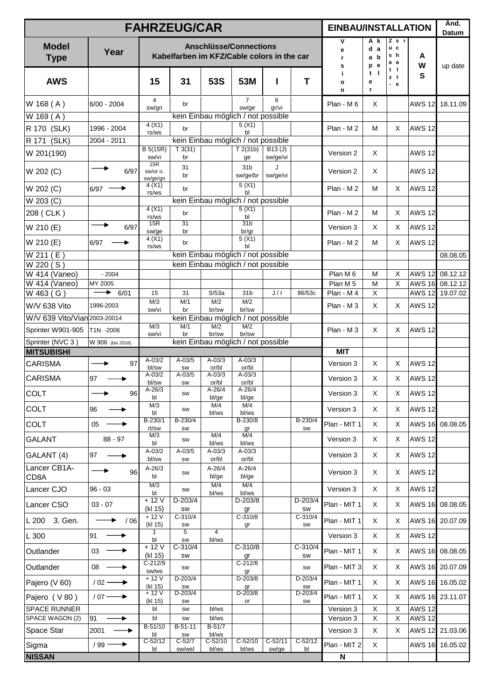|                              |                         | <b>FAHRZEUG/CAR</b>         |                      |                         |                                                                             |                    |                   | <b>EINBAU/INSTALLATION</b> |                                |                                         |                   | Änd.<br>Datum   |
|------------------------------|-------------------------|-----------------------------|----------------------|-------------------------|-----------------------------------------------------------------------------|--------------------|-------------------|----------------------------|--------------------------------|-----------------------------------------|-------------------|-----------------|
| <b>Model</b><br><b>Type</b>  | Year                    |                             |                      |                         | <b>Anschlüsse/Connections</b><br>Kabelfarben im KFZ/Cable colors in the car |                    |                   | v<br>e<br>r<br>s           | A k<br>d a<br>a b<br>e<br>p    | $Z$ s r<br>u c<br>s h<br>аа<br>$t \mid$ | A<br>w            | up date         |
| <b>AWS</b>                   |                         | 15                          | 31                   | 53S                     | 53M                                                                         | ı                  | T                 | j.<br>$\mathbf{o}$<br>n    | $\blacksquare$<br>t<br>е<br>r. | zt<br>$-e$                              | S                 |                 |
| W 168 (A)                    | $6/00 - 2004$           | 4<br>sw/gn                  | br                   |                         | $\overline{7}$<br>sw/ge                                                     | 6<br>gr/vi         |                   | Plan - M 6                 | X                              |                                         | <b>AWS 12</b>     | 18.11.09        |
| $\overline{W}$ 169 (A)       |                         |                             |                      |                         | kein Einbau möglich / not possible                                          |                    |                   |                            |                                |                                         |                   |                 |
| R 170 (SLK)                  | 1996 - 2004             | 4(X1)<br>rs/ws              | br                   |                         | 5(X1)<br>b <sub>l</sub>                                                     |                    |                   | Plan - M2                  | M                              | X                                       | <b>AWS 12</b>     |                 |
| R 171 (SLK)                  | 2004 - 2011             |                             |                      |                         | kein Einbau möglich / not possible                                          |                    |                   |                            |                                |                                         |                   |                 |
| W 201(190)                   |                         | B 5(15R)<br>sw/vi           | T3(31)<br>br         |                         | T2(31b)<br>ge                                                               | B13(J)<br>sw/ge/vi |                   | Version 2                  | X                              |                                         | <b>AWS 12</b>     |                 |
| W 202 (C)                    | 6/97                    | 15R<br>sw/or o.<br>sw/ge/gn | 31<br>br             |                         | 31 <sub>b</sub><br>sw/ge/br                                                 | J<br>sw/ge/vi      |                   | Version 2                  | X                              |                                         | <b>AWS 12</b>     |                 |
| W 202 (C)                    | $6/97 -$                | 4(X1)<br>rs/ws              | br                   |                         | 5(X1)<br>bl                                                                 |                    |                   | $Plan - M 2$               | м                              | X                                       | <b>AWS 12</b>     |                 |
| $W$ 203 $(C)$                |                         |                             |                      |                         | kein Einbau möglich / not possible                                          |                    |                   |                            |                                |                                         |                   |                 |
| 208 (CLK)                    |                         | 4(X1)<br>rs/ws              | br                   |                         | 5(X1)<br>bl                                                                 |                    |                   | $Plan - M 2$               | M                              | X                                       | <b>AWS 12</b>     |                 |
| W 210 (E)                    | 6/97                    | 15R<br>sw/ge                | 31<br>br             |                         | 31 <sub>b</sub><br>br/gr                                                    |                    |                   | Version 3                  | X                              | X                                       | <b>AWS 12</b>     |                 |
| W 210 (E)                    | 6/97                    | 4(X1)<br>rs/ws              | br                   |                         | 5(X1)<br>bl                                                                 |                    |                   | Plan - M 2                 | м                              | X                                       | <b>AWS 12</b>     |                 |
| W 211 (E)                    |                         |                             |                      |                         | kein Einbau möglich / not possible                                          |                    |                   |                            |                                |                                         |                   | 08.08.05        |
| W 220 (S)<br>W 414 (Vaneo)   | $-2004$                 |                             |                      |                         | kein Einbau möglich / not possible                                          |                    |                   | Plan M 6                   | M                              | X                                       | AWS 12            | 08.12.12        |
| W 414 (Vaneo)                | MY 2005                 |                             |                      |                         |                                                                             |                    |                   | Plan M <sub>5</sub>        | M                              | X                                       | AWS 16            | 08.12.12        |
| W 463 (G)                    | 6/01<br>▸               | 15                          | 31                   | S/53a                   | 31 <sub>b</sub>                                                             | J/I                | 86/53c            | Plan - M 4                 | X                              |                                         | <b>AWS 12</b>     | 19.07.02        |
| W/V 638 Vito                 | 1996-2003               | M/3<br>sw/vi                | M/1<br>br            | M/2<br>br/sw            | M/2<br>br/sw                                                                |                    |                   | Plan - M 3                 | X                              | X                                       | AWS <sub>12</sub> |                 |
| W/V 639 Vito/Vian 2003-20014 |                         |                             |                      |                         | kein Einbau möglich / not possible                                          |                    |                   |                            |                                |                                         |                   |                 |
| Sprinter W901-905            | T1N -2006               | M/3<br>sw/vi                | M/1<br>br            | M/2<br>br/sw            | M/2<br>br/sw                                                                |                    |                   | Plan - M 3                 | X                              | X                                       | <b>AWS 12</b>     |                 |
| Sprinter (NVC 3)             | W 906 (bis 2018)        |                             |                      |                         | kein Einbau möglich / not possible                                          |                    |                   |                            |                                |                                         |                   |                 |
| <b>MITSUBISHI</b>            |                         | $A-03/2$                    | $A - 03/5$           | $A - 03/3$              | $A - 03/3$                                                                  |                    |                   | <b>MIT</b>                 |                                |                                         |                   |                 |
| <b>CARISMA</b>               | 97<br>٠                 | bl/sw<br>A-03/2             | SW<br>$A-03/5$       | or/bl<br>$A - 03/3$     | or/bl<br>$A - 03/3$                                                         |                    |                   | Version 3                  | X                              | Χ                                       | <b>AWS 12</b>     |                 |
| <b>CARISMA</b>               | 97                      | bl/sw                       | SW                   | or/bl                   | or/bl                                                                       |                    |                   | Version 3                  | X                              | X                                       | <b>AWS 12</b>     |                 |
| COLT                         | 96                      | $A - 26/3$<br>bl            | SW                   | $A - 26/4$<br>bl/ge     | $A - 26/4$<br>bl/ge                                                         |                    |                   | Version 3                  | X                              | X                                       | AWS 12 <b> </b>   |                 |
| COLT                         | 96                      | M/3<br>bl                   | SW                   | M/4<br>bl/ws            | M/4<br>bl/ws                                                                |                    |                   | Version 3                  | X                              | X                                       | <b>AWS 12</b>     |                 |
| COLT                         | 05                      | B-230/1<br>rt/sw            | B-230/4<br>SW        |                         | B-230/8<br>gr                                                               |                    | $B-230/4$<br>SW   | Plan - MIT 1               | X                              | Χ                                       | <b>AWS 16</b>     | 08.08.05        |
| <b>GALANT</b>                | 88 - 97                 | M/3<br>bl                   | SW                   | M/4<br>bl/ws            | M/4<br>bl/ws                                                                |                    |                   | Version 3                  | X                              | Χ                                       | <b>AWS 12</b>     |                 |
| GALANT (4)                   | 97<br>▶                 | $A - 03/2$<br>bl/sw         | $A-03/5$<br>SW       | $A - 03/3$<br>or/bl     | $A - 03/3$<br>or/bl                                                         |                    |                   | Version 3                  | X                              | Χ                                       | <b>AWS 12</b>     |                 |
| Lancer CB1A-<br>CD8A         | ▶<br>96                 | A-26/3<br>bl                | SW                   | A-26/4<br>bl/ge         | A-26/4<br>bl/ge                                                             |                    |                   | Version 3                  | X                              | Χ                                       | <b>AWS 12</b>     |                 |
| Lancer CJO                   | $96 - 03$               | M/3<br>bl                   | SW                   | M/4<br>bl/ws            | M/4<br>bl/ws                                                                |                    |                   | Version 3                  | X                              | Χ                                       | <b>AWS 12</b>     |                 |
| Lancer CSO                   | $03 - 07$               | $+12V$<br>(kl 15)           | $D-203/4$<br>SW      |                         | D-203/8<br>gr                                                               |                    | $D-203/4$<br>SW   | Plan - MIT 1               | X                              | Χ                                       | <b>AWS 16</b>     | 08.08.05        |
| 3. Gen.<br>L 200             | /06                     | $+12V$<br>(kl 15)           | $C-310/4$<br>SW      |                         | $C-310/8$<br>gr                                                             |                    | $C-310/4$<br>SW   | Plan - MIT 1               | X                              | X                                       |                   | AWS 16 20.07.09 |
| L 300                        | 91<br>▸                 | 1<br>bl                     | $\overline{5}$<br>SW | $\overline{4}$<br>bl/ws |                                                                             |                    |                   | Version 3                  | X                              | X                                       | <b>AWS 12</b>     |                 |
| Outlander                    | 03                      | $+12V$<br>(kl 15)           | $C-310/4$<br>SW      |                         | $C-310/8$<br>gr                                                             |                    | $C-310/4$<br>SW   | Plan - MIT 1               | X                              | Χ                                       |                   | AWS 16 08.08.05 |
| Outlander                    | 08                      | C-212/9<br>sw/ws            | SW                   |                         | $C-212/8$<br>gr                                                             |                    | SW                | Plan - MIT 3               | X                              | Χ                                       |                   | AWS 16 20.07.09 |
| Pajero (V 60)                | $/02$ $\longrightarrow$ | $+12V$<br>(kl 15)           | $D-203/4$<br>SW      |                         | $D-203/8$<br>gr                                                             |                    | $D-203/4$<br>SW   | Plan - MIT 1               | X                              | Χ                                       |                   | AWS 16 16.05.02 |
| Pajero (V80)                 | $/07 \rightarrow$       | + 12 V<br>(kl 15)           | D-203/4<br>SW        |                         | D-203/8<br>or                                                               |                    | D-203/4<br>SW     | Plan - MIT 1               | X                              | X                                       |                   | AWS 16 23.11.07 |
| <b>SPACE RUNNER</b>          |                         | bl                          | SW                   | bl/ws                   |                                                                             |                    |                   | Version 3                  | X                              | X                                       | <b>AWS 12</b>     |                 |
| SPACE WAGON (2)              | 91<br>▸                 | bl<br>$B-51/10$             | SW<br>$B-51-11$      | bl/ws<br>$B-51/7$       |                                                                             |                    |                   | Version 3                  | X                              | X                                       | <b>AWS 12</b>     |                 |
| Space Star                   | 2001                    | bl                          | SW                   | bl/ws                   |                                                                             |                    |                   | Version 3                  | X                              | X                                       |                   | AWS 12 21.03.06 |
| Sigma                        | $/ 99 \longrightarrow$  | $C-52/12$<br>bl             | $C-52/7$<br>sw/wsl   | C-52/10<br>bl/ws        | $C - 52/10$<br>bl/ws                                                        | $C-52/11$<br>sw/ge | $C - 52/12$<br>bl | Plan - MIT 2               | X                              |                                         |                   | AWS 16 16.05.02 |
| <b>NISSAN</b>                |                         |                             |                      |                         |                                                                             |                    |                   | N                          |                                |                                         |                   |                 |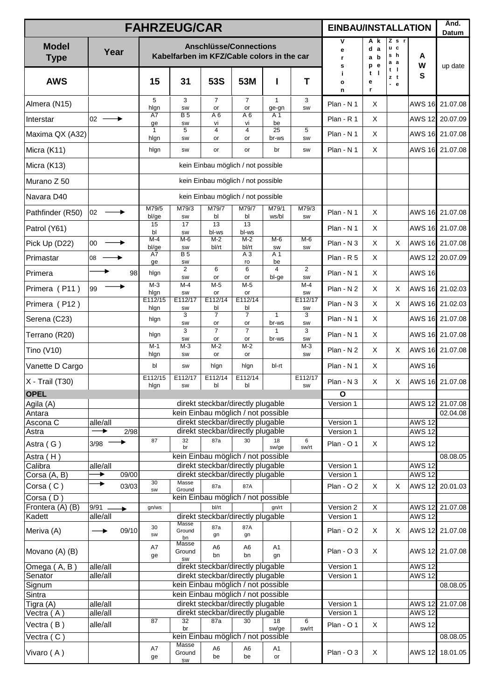|                             |                      |             |                      | <b>FAHRZEUG/CAR</b>                        |                                                                         |                          |                         |                      | <b>EINBAU/INSTALLATION</b> |                             |                                     |                                | Änd.<br>Datum        |
|-----------------------------|----------------------|-------------|----------------------|--------------------------------------------|-------------------------------------------------------------------------|--------------------------|-------------------------|----------------------|----------------------------|-----------------------------|-------------------------------------|--------------------------------|----------------------|
| <b>Model</b><br><b>Type</b> | Year                 |             |                      | Kabelfarben im KFZ/Cable colors in the car | <b>Anschlüsse/Connections</b>                                           |                          |                         |                      | V<br>е<br>r.<br>s          | A k<br>d a<br>a b<br>e<br>p | $Z$ s r<br>u c<br>s h<br>а а<br>t I | A<br>W                         | up date              |
| <b>AWS</b>                  |                      |             | 15                   | 31                                         | <b>53S</b>                                                              | 53M                      | I                       | T                    | Ĭ.<br>$\mathbf{o}$<br>n    | $t$  <br>е<br>r             | zt<br>- е                           | S                              |                      |
| Almera (N15)                |                      |             | 5<br>hlgn            | 3<br>SW                                    | $\overline{7}$<br>or                                                    | $\overline{7}$<br>or     | $\mathbf{1}$<br>ge-gn   | 3<br>SW              | Plan - N 1                 | X                           |                                     | <b>AWS 16</b>                  | 21.07.08             |
| Interstar                   | 02                   |             | A7<br>ge             | <b>B5</b><br>SW                            | A 6<br>vi                                                               | $\overline{A6}$<br>vi    | A 1<br>be               |                      | $Plan - R 1$               | X                           |                                     | <b>AWS 12</b>                  | 20.07.09             |
| Maxima QX (A32)             |                      |             | $\mathbf{1}$<br>hlgn | 5<br>SW                                    | 4<br>or                                                                 | $\overline{4}$<br>or     | 25<br>br-ws             | 5<br>SW              | Plan - N 1                 | X                           |                                     |                                | AWS 16 21.07.08      |
| Micra (K11)                 |                      |             | hlgn                 | SW                                         | or                                                                      | or                       | br                      | SW                   | Plan - N 1                 | X                           |                                     |                                | AWS 16 21.07.08      |
| Micra (K13)                 |                      |             |                      |                                            | kein Einbau möglich / not possible                                      |                          |                         |                      |                            |                             |                                     |                                |                      |
| Murano Z 50                 |                      |             |                      |                                            | kein Einbau möglich / not possible                                      |                          |                         |                      |                            |                             |                                     |                                |                      |
| Navara D40                  |                      |             |                      |                                            | kein Einbau möglich / not possible                                      |                          |                         |                      |                            |                             |                                     |                                |                      |
| Pathfinder (R50)            | 02                   |             | M79/5<br>bl/ge       | M79/3<br>SW                                | M79/7<br>bl                                                             | M79/7<br>bl              | M79/1<br>ws/bl          | M79/3<br>SW          | Plan - N 1                 | X                           |                                     |                                | AWS 16 21.07.08      |
| Patrol (Y61)                |                      |             | 15<br>bl             | 17<br>SW                                   | 13<br>bl-ws                                                             | $\overline{13}$<br>bl-ws |                         |                      | Plan - N 1                 | X                           |                                     |                                | AWS 16 21.07.08      |
| Pick Up (D22)               | 00                   |             | $M-4$<br>bl/ge       | $M-6$<br>SW                                | $M-2$<br>bl/rt                                                          | $M-2$<br>bl/rt           | $M-6$<br>SW             | $M-6$<br>SW          | Plan - N 3                 | $\times$                    | X                                   |                                | AWS 16 21.07.08      |
| Primastar                   | 08                   |             | A7<br>ge             | <b>B5</b><br>SW                            |                                                                         | A <sub>3</sub><br>ro     | A 1<br>be               |                      | Plan - R 5                 | X                           |                                     |                                | AWS 12 20.07.09      |
| Primera                     |                      | 98          | hlgn                 | $\overline{2}$<br>SW                       | 6<br>or                                                                 | 6<br>or                  | $\overline{4}$<br>bl-ge | $\overline{2}$<br>SW | Plan - N 1                 | X                           |                                     | <b>AWS 16</b>                  |                      |
| Primera (P11)               | 99                   |             | $M-3$<br>hlgn        | $M-4$<br><b>SW</b>                         | $M-5$<br>or                                                             | $M-5$<br>or              |                         | M-4<br>SW            | Plan - N 2                 | X                           | Χ                                   | <b>AWS 16</b>                  | 21.02.03             |
| Primera (P12)               |                      |             | E112/15<br>hlgn      | E112/17<br>SW                              | E112/14<br>bl                                                           | E112/14<br>bl            |                         | E112/17<br>SW        | Plan - N 3                 | X                           | X                                   |                                | AWS 16 21.02.03      |
| Serena (C23)                |                      |             | hlgn                 | 3<br>SW                                    | $\overline{7}$<br>or                                                    | $\overline{7}$<br>or     | $\mathbf{1}$<br>br-ws   | 3<br><b>SW</b>       | Plan - N 1                 | X                           |                                     | <b>AWS 16</b>                  | 21.07.08             |
| Terrano (R20)               |                      |             | hlgn                 | 3<br>SW                                    | $\overline{7}$<br>or                                                    | $\overline{7}$<br>or     | $\mathbf{1}$<br>br-ws   | 3<br>SW              | Plan - N 1                 | X                           |                                     |                                | AWS 16 21.07.08      |
| Tino (V10)                  |                      |             | M-1<br>hlgn          | $M-3$<br>SW                                | $M-2$<br>or                                                             | $M-2$<br>or              |                         | $M-3$<br><b>SW</b>   | Plan - N 2                 | X                           | X                                   |                                | AWS 16 21.07.08      |
| Vanette D Cargo             |                      |             | bl                   | SW                                         | hlgn                                                                    | hlgn                     | bl-rt                   |                      | Plan - N 1                 | X                           |                                     | <b>AWS 16</b>                  |                      |
| X - Trail (T30)             |                      |             | E112/15<br>hlgn      | E112/17<br>SW                              | E112/14<br>bl                                                           | E112/14<br>bl            |                         | E112/17<br>SW        | Plan - N 3                 | X                           | Χ                                   |                                | AWS 16 21.07.08      |
| <b>OPEL</b>                 |                      |             |                      |                                            |                                                                         |                          |                         |                      | O                          |                             |                                     |                                |                      |
| Agila (A)<br>Antara         |                      |             |                      |                                            | direkt steckbar/directly plugable<br>kein Einbau möglich / not possible |                          |                         |                      | Version 1                  |                             |                                     | <b>AWS 12</b>                  | 21.07.08<br>02.04.08 |
| Ascona C                    | alle/all             |             |                      |                                            | direkt steckbar/directly plugable                                       |                          |                         |                      | Version 1                  |                             |                                     | <b>AWS 12</b>                  |                      |
| Astra                       | ▶                    | 2/98        | 87                   | 32                                         | direkt steckbar/directly plugable<br>87a                                | 30                       | 18                      | 6                    | Version 1                  |                             |                                     | <b>AWS 12</b>                  |                      |
| Astra (G)                   | 3/98                 |             |                      | br                                         |                                                                         |                          | sw/ge                   | sw/rt                | Plan - O 1                 | X                           |                                     | <b>AWS 12</b>                  |                      |
| Astra (H)<br>Calibra        | alle/all             |             |                      |                                            | kein Einbau möglich / not possible<br>direkt steckbar/directly plugable |                          |                         |                      | Version 1                  |                             |                                     | <b>AWS 12</b>                  | 08.08.05             |
| Corsa (A, B)                | ▶                    | 09/00       |                      |                                            | direkt steckbar/directly plugable                                       |                          |                         |                      | Version 1                  |                             |                                     | <b>AWS 12</b>                  |                      |
| Corsa (C)                   | ▶                    | 03/03       | 30<br><b>SW</b>      | Masse<br>Ground                            | 87a                                                                     | 87A                      |                         |                      | $Plan - O 2$               | X                           | X                                   | <b>AWS 12</b>                  | 20.01.03             |
| Corsa (D)                   |                      |             |                      |                                            | kein Einbau möglich / not possible                                      |                          |                         |                      |                            |                             |                                     |                                |                      |
| Frontera (A) (B)            | 9/91                 | $\ddotmark$ | gn/ws                |                                            | bl/rt                                                                   |                          | gn/rt                   |                      | Version 2                  | X                           |                                     |                                | AWS 12 21.07.08      |
| Kadett                      | alle/all             |             |                      | Masse                                      | direkt steckbar/directly plugable                                       |                          |                         |                      | Version 1                  |                             |                                     | <b>AWS 12</b>                  |                      |
| Meriva (A)                  |                      | 09/10       | 30<br><b>SW</b>      | Ground<br>bn                               | 87a<br>gn                                                               | 87A<br>gn                |                         |                      | $Plan - O 2$               | X                           | X                                   |                                | AWS 12 21.07.08      |
| Movano (A) (B)              |                      |             | A7                   | Masse<br>Ground                            | A <sub>6</sub><br>bn                                                    | A <sub>6</sub><br>bn     | A1<br>gn                |                      | $Plan - O 3$               | X                           |                                     |                                | AWS 12 21.07.08      |
| Omega (A, B)                | alle/all             |             | ge                   | <b>SW</b>                                  | direkt steckbar/directly plugable                                       |                          |                         |                      | Version 1                  |                             |                                     | <b>AWS 12</b>                  |                      |
| Senator                     | alle/all             |             |                      |                                            | direkt steckbar/directly plugable                                       |                          |                         |                      | Version 1                  |                             |                                     | <b>AWS 12</b>                  |                      |
| Signum                      |                      |             |                      |                                            | kein Einbau möglich / not possible                                      |                          |                         |                      |                            |                             |                                     |                                | 08.08.05             |
| Sintra                      |                      |             |                      |                                            | kein Einbau möglich / not possible                                      |                          |                         |                      |                            |                             |                                     |                                |                      |
| Tigra (A)<br>Vectra (A)     | alle/all<br>alle/all |             |                      |                                            | direkt steckbar/directly plugable<br>direkt steckbar/directly plugable  |                          |                         |                      | Version 1<br>Version 1     |                             |                                     | <b>AWS 12</b><br><b>AWS 12</b> | 21.07.08             |
|                             | alle/all             |             | 87                   | 32                                         | 87a                                                                     | 30                       | 18                      | 6                    | Plan - O 1                 | $\mathsf X$                 |                                     | <b>AWS 12</b>                  |                      |
| Vectra (B)<br>Vectra (C)    |                      |             |                      | br                                         | kein Einbau möglich / not possible                                      |                          | sw/ge                   | sw/rt                |                            |                             |                                     |                                | 08.08.05             |
| Vivaro (A)                  |                      |             | A7                   | <b>Masse</b><br>Ground                     | A <sub>6</sub><br>be                                                    | A <sub>6</sub><br>be     | A1<br>or                |                      | Plan - O 3                 | X                           |                                     | <b>AWS 12</b>                  | 18.01.05             |
|                             |                      |             | ge                   | <b>SW</b>                                  |                                                                         |                          |                         |                      |                            |                             |                                     |                                |                      |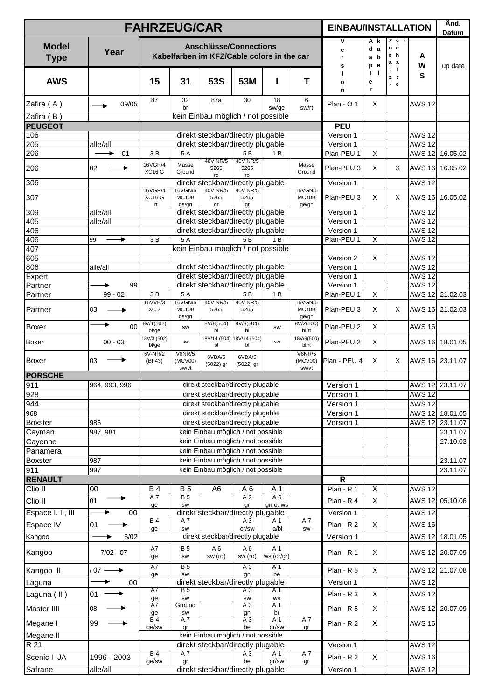|                                    |                       |                            | <b>FAHRZEUG/CAR</b>                                                                                                   |                     |                                                                        |                   |                           | <b>EINBAU/INSTALLATION</b> |                          |                                       |                                | Änd.<br>Datum        |
|------------------------------------|-----------------------|----------------------------|-----------------------------------------------------------------------------------------------------------------------|---------------------|------------------------------------------------------------------------|-------------------|---------------------------|----------------------------|--------------------------|---------------------------------------|--------------------------------|----------------------|
| <b>Model</b><br><b>Type</b>        | Year                  |                            | Kabelfarben im KFZ/Cable colors in the car                                                                            |                     | <b>Anschlüsse/Connections</b>                                          |                   |                           | ۷<br>е<br>r.<br>s          | A k<br>d a<br>a b<br>p e | $Z$ s $r$<br>u c<br>s h<br>a a<br>t I | A<br>W                         | up date              |
| <b>AWS</b>                         |                       | 15                         | 31                                                                                                                    | <b>53S</b>          | 53M                                                                    | I                 | T                         | j.<br>$\mathbf{o}$<br>n    | $t$  <br>е<br>r          | zt<br>$-e$                            | S                              |                      |
| Zafira (A)                         | 09/05                 | 87                         | 32<br>br                                                                                                              | 87a                 | 30                                                                     | 18<br>sw/ge       | 6<br>sw/rt                | Plan - O 1                 | X                        |                                       | <b>AWS 12</b>                  |                      |
| Zafira (B)                         |                       |                            |                                                                                                                       |                     | kein Einbau möglich / not possible                                     |                   |                           |                            |                          |                                       |                                |                      |
| <b>PEUGEOT</b>                     |                       |                            |                                                                                                                       |                     |                                                                        |                   |                           | <b>PEU</b>                 |                          |                                       |                                |                      |
| 106<br>205                         |                       |                            |                                                                                                                       |                     | direkt steckbar/directly plugable<br>direkt steckbar/directly plugable |                   |                           | Version 1<br>Version 1     |                          |                                       | <b>AWS 12</b><br><b>AWS 12</b> |                      |
| 206                                | alle/all<br>01        | 3 B                        | 5A                                                                                                                    |                     | 5B                                                                     | 1 B               |                           | Plan-PEU 1                 | $\overline{\mathsf{x}}$  |                                       | <b>AWS 12</b>                  | 16.05.02             |
| 206                                | 02                    | 16VGR/4<br><b>XC16 G</b>   | Masse<br>Ground                                                                                                       | 40V NR/5<br>5265    | 40V NR/5<br>5265                                                       |                   | Masse<br>Ground           | Plan-PEU 3                 | X                        | X                                     |                                | AWS 16 16.05.02      |
| 306                                |                       |                            |                                                                                                                       | ro                  | ro<br>direkt steckbar/directly plugable                                |                   |                           | Version 1                  |                          |                                       | <b>AWS 12</b>                  |                      |
|                                    |                       | 16VGR/4                    | 16VGN/6                                                                                                               | 40V NR/5            | 40V NR/5                                                               |                   | 16VGN/6                   |                            |                          |                                       |                                |                      |
| 307                                |                       | <b>XC16 G</b><br>rt        | MC10B<br>ge/gn                                                                                                        | 5265<br>qr          | 5265<br>gr                                                             |                   | MC10B<br>ge/gn            | Plan-PEU 3                 | $\times$                 | X                                     |                                | AWS 16 16.05.02      |
| 309                                | alle/all              |                            |                                                                                                                       |                     | direkt steckbar/directly plugable                                      |                   |                           | Version 1                  |                          |                                       | <b>AWS 12</b>                  |                      |
| 405                                | alle/all              |                            |                                                                                                                       |                     | direkt steckbar/directly plugable                                      |                   |                           | Version 1                  |                          |                                       | <b>AWS 12</b><br><b>AWS 12</b> |                      |
| $\overline{406}$<br>406            | 99                    | 3B                         | 5A                                                                                                                    |                     | direkt steckbar/directly plugable<br>5B                                | 1B                |                           | Version 1<br>Plan-PEU 1    | X                        |                                       | <b>AWS 12</b>                  |                      |
| 407                                |                       |                            |                                                                                                                       |                     | kein Einbau möglich / not possible                                     |                   |                           |                            |                          |                                       |                                |                      |
| 605                                |                       |                            |                                                                                                                       |                     |                                                                        |                   |                           | Version 2                  | X                        |                                       | <b>AWS 12</b>                  |                      |
| 806                                | alle/all              |                            |                                                                                                                       |                     | direkt steckbar/directly plugable                                      |                   |                           | Version 1                  |                          |                                       | <b>AWS 12</b>                  |                      |
| Expert                             |                       |                            |                                                                                                                       |                     | direkt steckbar/directly plugable                                      |                   |                           | Version 1                  |                          |                                       | <b>AWS 12</b>                  |                      |
| Partner                            | 99<br>▶               |                            | direkt steckbar/directly plugable                                                                                     | Version 1           |                                                                        |                   | <b>AWS 12</b>             |                            |                          |                                       |                                |                      |
| Partner                            | $99 - 02$             | 3B                         | 5A                                                                                                                    |                     | 5B                                                                     | 1 B               |                           | Plan-PEU 1                 | $\mathsf X$              |                                       | <b>AWS 12</b>                  | 21.02.03             |
| Partner                            | 03                    | 16VVE/3<br>XC <sub>2</sub> | 16VGN/6<br>MC10B<br>ge/gn                                                                                             | 40V NR/5<br>5265    | 40V NR/5<br>5265                                                       |                   | 16VGN/6<br>MC10B<br>ge/gn | Plan-PEU 3                 | X                        | X                                     | <b>AWS 16</b>                  | 21.02.03             |
| Boxer                              | 00                    | 8V/1(502)<br>bl/ge         | SW                                                                                                                    | 8V/8(504)<br>bl     | 8V/8(504)<br>bl                                                        | SW                | 8V/2(500)<br>bl/rt        | Plan-PEU 2                 | X                        |                                       | <b>AWS 16</b>                  |                      |
| Boxer                              | $00 - 03$             | 18V/3 (502)<br>bl/ge       | 18V/14 (504) 18V/14 (504)<br>18V/9(500)<br>SW<br>SW<br>bl<br>bl/rt<br>bl<br>6V-NR/2<br><b>V6NR/5</b><br><b>V6NR/5</b> |                     |                                                                        |                   |                           | Plan-PEU 2                 | X                        |                                       |                                | AWS 16 18.01.05      |
| Boxer                              | 03                    | (BF43)                     | (MCV00)<br>sw/vt                                                                                                      | 6VBA/5<br>(5022) gr | 6VBA/5<br>(5022) gr                                                    |                   | (MCV00)<br>sw/vt          | Plan - PEU 4               | X                        | X                                     |                                | AWS 16 23.11.07      |
| <b>PORSCHE</b>                     |                       |                            |                                                                                                                       |                     |                                                                        |                   |                           |                            |                          |                                       |                                |                      |
| 911                                | 964, 993, 996         |                            |                                                                                                                       |                     | direkt steckbar/directly plugable                                      |                   |                           | Version 1                  |                          |                                       |                                | AWS 12 23.11.07      |
| 928                                |                       |                            |                                                                                                                       |                     | direkt steckbar/directly plugable                                      |                   |                           | Version 1                  |                          |                                       | <b>AWS 12</b>                  |                      |
| 944                                |                       |                            |                                                                                                                       |                     | direkt steckbar/directly plugable<br>direkt steckbar/directly plugable |                   |                           | Version 1                  |                          |                                       | <b>AWS 12</b>                  |                      |
| $\overline{968}$<br><b>Boxster</b> | 986                   |                            |                                                                                                                       |                     | direkt steckbar/directly plugable                                      |                   |                           | Version 1<br>Version 1     |                          |                                       | <b>AWS 12</b><br><b>AWS 12</b> | 18.01.05<br>23.11.07 |
| Cayman                             | 987, 981              |                            |                                                                                                                       |                     | kein Einbau möglich / not possible                                     |                   |                           |                            |                          |                                       |                                | 23.11.07             |
| Cayenne                            |                       |                            |                                                                                                                       |                     | kein Einbau möglich / not possible                                     |                   |                           |                            |                          |                                       |                                | 27.10.03             |
| Panamera                           |                       |                            |                                                                                                                       |                     | kein Einbau möglich / not possible                                     |                   |                           |                            |                          |                                       |                                |                      |
| <b>Boxster</b>                     | 987                   |                            |                                                                                                                       |                     | kein Einbau möglich / not possible                                     |                   |                           |                            |                          |                                       |                                | 23.11.07             |
| 911                                | 997                   |                            |                                                                                                                       |                     | kein Einbau möglich / not possible                                     |                   |                           |                            |                          |                                       |                                | 23.11.07             |
| <b>RENAULT</b>                     |                       |                            |                                                                                                                       |                     |                                                                        |                   |                           | $\mathsf{R}$               |                          |                                       |                                |                      |
| Clio II                            | 00                    | <b>B4</b>                  | <b>B5</b>                                                                                                             | A6                  | A 6                                                                    | A 1               |                           | Plan - R 1                 | X                        |                                       | <b>AWS 12</b>                  |                      |
| Clio II                            | 01                    | A7<br>ge                   | B <sub>5</sub><br>SW                                                                                                  |                     | A <sub>2</sub><br>gr                                                   | A6<br>gn o. ws    |                           | Plan - R 4                 | $\mathsf X$              |                                       |                                | AWS 12 05.10.06      |
| Espace I. II, III                  | 00                    |                            |                                                                                                                       |                     | direkt steckbar/directly plugable                                      |                   |                           | Version 1                  |                          |                                       | <b>AWS 12</b>                  |                      |
| Espace IV                          | 01                    | <b>B4</b>                  | A7                                                                                                                    |                     | $A_3$<br>or/sw                                                         | A 1<br>la/bl      | A7                        | Plan - R 2                 | X                        |                                       | <b>AWS 16</b>                  |                      |
| Kangoo                             | 6/02                  | ge                         | SW                                                                                                                    |                     | direkt steckbar/directly plugable                                      |                   | SW                        | Version 1                  |                          |                                       |                                | AWS 12 18.01.05      |
| Kangoo                             | $7/02 - 07$           | A7<br>ge                   | <b>B5</b><br><b>SW</b>                                                                                                | A 6<br>sw (ro)      | A <sub>6</sub><br>sw (ro)                                              | A 1<br>ws (or/gr) |                           | Plan - R 1                 | X                        |                                       |                                | AWS 12 20.07.09      |
| Kangoo II                          | $/07 \longrightarrow$ | A7                         | <b>B5</b>                                                                                                             |                     | $\overline{A3}$                                                        | A <sub>1</sub>    |                           | Plan - R 5                 | X                        |                                       |                                | AWS 12 21.07.08      |
| Laguna                             | 00                    |                            | be<br>SW<br>gn<br>ge<br>direkt steckbar/directly plugable                                                             |                     |                                                                        |                   |                           |                            |                          |                                       | <b>AWS 12</b>                  |                      |
| Laguna (II)                        | 01                    | A7                         | B <sub>5</sub><br>$A_3$<br>A 1                                                                                        |                     |                                                                        |                   |                           |                            | X                        |                                       | <b>AWS 12</b>                  |                      |
| Master IIII                        | 08                    | A7                         | SW<br><b>WS</b><br>ge<br>SW<br>Ground<br>A <sub>3</sub><br>A 1<br>br<br>ge<br>SW<br>gn<br>A3<br>A <sub>1</sub>        |                     |                                                                        |                   |                           |                            | X                        |                                       | <b>AWS 12</b>                  | 20.07.09             |
| Megane I                           | 99<br>▸               | B <sub>4</sub>             | A7                                                                                                                    | A7                  | Plan - R 2                                                             | X                 |                           | <b>AWS 16</b>              |                          |                                       |                                |                      |
| Megane II                          |                       | ge/sw                      | gr<br>kein Einbau möglich / not possible                                                                              | gr                  |                                                                        |                   |                           |                            |                          |                                       |                                |                      |
| R 21                               |                       | B <sub>4</sub>             |                                                                                                                       |                     | direkt steckbar/directly plugable                                      |                   |                           | Version 1                  |                          |                                       | <b>AWS 12</b>                  |                      |
| Scenic I JA                        | 1996 - 2003           | ge/sw                      | A7<br>gr                                                                                                              |                     | A <sub>3</sub><br>be                                                   | A 1<br>gr/sw      | A7<br>gr                  | Plan - R 2                 | X                        |                                       | <b>AWS 16</b>                  |                      |
| Safrane                            | alle/all              |                            |                                                                                                                       |                     | direkt steckbar/directly plugable                                      |                   |                           | Version 1                  |                          |                                       | <b>AWS 12</b>                  |                      |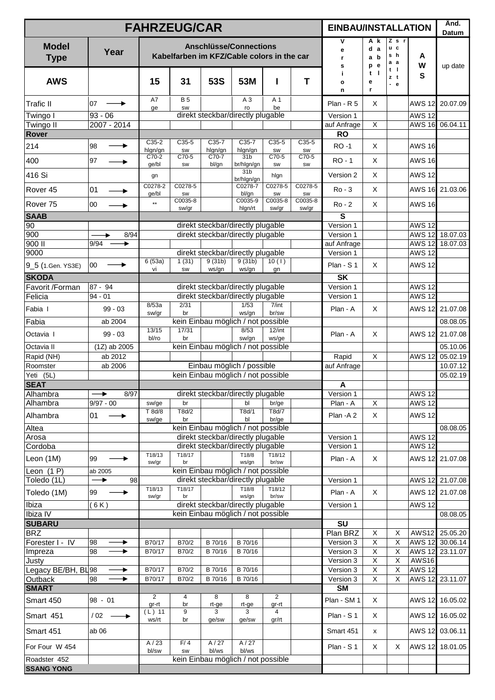|                             |                      | <b>FAHRZEUG/CAR</b> |                         |                |                                                                             |                         |                      | <b>EINBAU/INSTALLATION</b> |                                                    |                                           |                           | Änd.<br>Datum        |
|-----------------------------|----------------------|---------------------|-------------------------|----------------|-----------------------------------------------------------------------------|-------------------------|----------------------|----------------------------|----------------------------------------------------|-------------------------------------------|---------------------------|----------------------|
| <b>Model</b><br><b>Type</b> | Year                 |                     |                         |                | <b>Anschlüsse/Connections</b><br>Kabelfarben im KFZ/Cable colors in the car |                         |                      | ٧<br>e<br>r<br>s           | A k<br>d a<br>a b<br>e<br>p                        | Zsr<br>u c<br>s h<br>а а                  | A<br>W                    | up date              |
| <b>AWS</b>                  |                      | 15                  | 31                      | 53S            | 53M                                                                         |                         | T                    | i.<br>o<br>n               | t<br>- 1<br>е<br>r                                 | t I<br>zt<br>$-e$                         | S                         |                      |
| <b>Trafic II</b>            | 107<br>→             | A7<br>ge            | <b>B</b> 5<br><b>SW</b> |                | $A_3$<br>ro                                                                 | A 1<br>be               |                      | Plan - R 5                 | X                                                  |                                           | <b>AWS 12</b>             | 20.07.09             |
| Twingo I                    | $93 - 06$            |                     |                         |                | direkt steckbar/directly plugable                                           |                         |                      | Version 1                  |                                                    |                                           | <b>AWS 12</b>             |                      |
| Twingo II                   | 2007 - 2014          |                     |                         |                |                                                                             |                         |                      | auf Anfrage                | $\overline{\mathsf{x}}$                            |                                           | <b>AWS 16</b>             | 06.04.11             |
| Rover                       |                      | $C35-2$             | $C35-5$                 | $C35-7$        | C35-7                                                                       | $C35-5$                 | $C35-5$              | <b>RO</b>                  |                                                    |                                           |                           |                      |
| 214                         | 98                   | hlgn/gn             | SW                      | hlgn/gn        | hlgn/gn                                                                     | <b>SW</b>               | SW                   | <b>RO-1</b>                | $\sf X$                                            |                                           | <b>AWS 16</b>             |                      |
| 400                         | 97                   | C70-2<br>ge/bl      | $C70-5$<br>SW           | C70-7<br>bl/gn | 31 <sub>b</sub><br>br/hlgn/gn                                               | C70-5<br>SW             | C70-5<br>SW          | <b>RO-1</b>                | X                                                  |                                           | <b>AWS 16</b>             |                      |
| 416 Si                      |                      | gn                  |                         |                | 31 <sub>b</sub><br>br/hlgn/gn                                               | hlgn                    |                      | Version 2                  | $\sf X$                                            |                                           | <b>AWS 12</b>             |                      |
| Rover <sub>45</sub>         | 01                   | C0278-2<br>ge/bl    | C0278-5<br><b>SW</b>    |                | C0278-7<br>bl/gn                                                            | C0278-5<br><b>SW</b>    | C0278-5<br><b>SW</b> | $Ro - 3$                   | X                                                  |                                           | <b>AWS 16</b>             | 21.03.06             |
| Rover <sub>75</sub>         | 00                   | $\star\star$        | C0035-8<br>sw/gr        |                | C0035-9<br>hlgn/rt                                                          | C0035-8<br>sw/gr        | C0035-8<br>sw/gr     | $Ro - 2$                   | $\mathsf{X}$                                       |                                           | <b>AWS 16</b>             |                      |
| <b>SAAB</b>                 |                      |                     |                         |                |                                                                             |                         |                      | S                          |                                                    |                                           |                           |                      |
| 90                          |                      |                     |                         |                | direkt steckbar/directly plugable                                           |                         |                      | Version 1                  |                                                    |                                           | <b>AWS 12</b>             |                      |
| 900                         | 8/94                 |                     |                         |                | direkt steckbar/directly plugable                                           |                         |                      | Version 1                  |                                                    |                                           | <b>AWS 12</b>             | 18.07.03             |
| 900 II                      | 9/94<br>۰            |                     |                         |                |                                                                             |                         |                      | auf Anfrage                |                                                    |                                           |                           | AWS 12 18.07.03      |
| 9000                        |                      |                     | 1(31)                   | 9(31b)         | direkt steckbar/directly plugable<br>9(31b)                                 |                         |                      | Version 1                  |                                                    |                                           | <b>AWS 12</b>             |                      |
| 9_5 (1.Gen. YS3E)           | 00                   | 6(53a)<br>vi        | <b>SW</b>               | ws/gn          | ws/gn                                                                       | 10(1)<br>gn             |                      | Plan - S 1                 | $\sf X$                                            |                                           | <b>AWS 12</b>             |                      |
| <b>SKODA</b>                |                      |                     |                         |                |                                                                             |                         |                      | <b>SK</b>                  |                                                    |                                           |                           |                      |
| Favorit /Forman<br>Felicia  | 87 - 94<br>$94 - 01$ |                     |                         |                | direkt steckbar/directly plugable<br>direkt steckbar/directly plugable      |                         |                      | Version 1<br>Version 1     |                                                    |                                           | <b>AWS 12</b><br>$AWS$ 12 |                      |
|                             |                      | 8/53a               | 2/31                    |                | 1/53                                                                        | 7/int                   |                      |                            |                                                    |                                           |                           |                      |
| Fabia I                     | $99 - 03$            | sw/gr               | br                      |                | ws/gn                                                                       | br/sw                   |                      | Plan - A                   | X                                                  |                                           | <b>AWS 12</b>             | 21.07.08             |
| Fabia                       | ab 2004              | 13/15               | 17/31                   |                | kein Einbau möglich / not possible<br>8/53                                  | $12$ /int               |                      |                            |                                                    |                                           |                           | 08.08.05             |
| Octavia I                   | $99 - 03$            | bl/ro               | br                      |                | sw/gn                                                                       | ws/ge                   |                      | Plan - A                   | X                                                  |                                           | <b>AWS 12</b>             | 21.07.08             |
| Octavia II                  | $(1Z)$ ab 2005       |                     |                         |                | kein Einbau möglich / not possible                                          |                         |                      |                            |                                                    |                                           |                           | 05.10.06             |
| Rapid (NH)<br>Roomster      | ab 2012<br>ab 2006   |                     |                         |                | Einbau möglich / possible                                                   |                         |                      | Rapid<br>auf Anfrage       | $\mathsf X$                                        |                                           | <b>AWS 12</b>             | 05.02.19<br>10.07.12 |
| Yeti (5L)                   |                      |                     |                         |                | kein Einbau möglich / not possible                                          |                         |                      |                            |                                                    |                                           |                           | 05.02.19             |
| <b>SEAT</b>                 |                      |                     |                         |                |                                                                             |                         |                      | A                          |                                                    |                                           |                           |                      |
| Alhambra                    | 8/97<br>▸            |                     |                         |                | direkt steckbar/directly plugable                                           |                         |                      | Version 1                  |                                                    |                                           | <b>AWS 12</b>             |                      |
| Alhambra                    | $9/97 - 00$          | sw/ge               | br                      |                | bl                                                                          | br/ge                   |                      | Plan - A                   | X                                                  |                                           | <b>AWS 12</b>             |                      |
| Alhambra                    | 01<br>→              | T 8d/8<br>sw/ge     | T8d/2<br>br             |                | T8d/1<br>bl                                                                 | T8d/7<br>br/ge          |                      | Plan - A 2                 | $\mathsf{X}$                                       |                                           | <b>AWS 12</b>             |                      |
| Altea                       |                      |                     |                         |                | kein Einbau möglich / not possible                                          |                         |                      |                            |                                                    |                                           |                           | 08.08.05             |
| Arosa                       |                      |                     |                         |                | direkt steckbar/directly plugable                                           |                         |                      | Version 1                  |                                                    |                                           | <b>AWS 12</b>             |                      |
| Cordoba                     |                      |                     | T18/17                  |                | direkt steckbar/directly plugable                                           | T18/12                  |                      | Version 1                  |                                                    |                                           | <b>AWS 12</b>             |                      |
| Leon (1M)                   | 99<br>▸              | T18/13<br>sw/gr     | br                      |                | T18/8<br>ws/gn                                                              | br/sw                   |                      | Plan - A                   | X                                                  |                                           |                           | AWS 12 21.07.08      |
| Leon $(1 P)$                | ab 2005              |                     |                         |                | kein Einbau möglich / not possible                                          |                         |                      |                            |                                                    |                                           |                           |                      |
| Toledo (1L)                 | $\rightarrow$<br>98  | T18/13              | T18/17                  |                | direkt steckbar/directly plugable<br>T18/8                                  | T18/12                  |                      | Version 1                  |                                                    |                                           |                           | AWS 12 21.07.08      |
| Toledo (1M)                 | 99                   | sw/gr               | br                      |                | ws/gn                                                                       | br/sw                   |                      | Plan - A                   | X                                                  |                                           | <b>AWS 12</b>             | 21.07.08             |
| Ibiza<br>Ibiza IV           | (6K)                 |                     |                         |                | direkt steckbar/directly plugable<br>kein Einbau möglich / not possible     |                         |                      | Version 1                  |                                                    |                                           | <b>AWS 12</b>             | 08.08.05             |
| <b>SUBARU</b>               |                      |                     |                         |                |                                                                             |                         |                      | SU                         |                                                    |                                           |                           |                      |
| <b>BRZ</b>                  |                      |                     |                         |                |                                                                             |                         |                      | Plan BRZ                   | X                                                  | Х                                         | AWS12                     | 25.05.20             |
| Forester I - IV             | 98<br>▶              | B70/17              | B70/2                   | B 70/16        | B 70/16                                                                     |                         |                      | Version 3                  | $\mathsf X$                                        | X                                         |                           | AWS 12 30.06.14      |
| Impreza                     | 98<br>▶              | B70/17              | B70/2                   | B 70/16        | B 70/16                                                                     |                         |                      | Version 3                  | $\mathsf X$                                        | X                                         |                           | AWS 12 23.11.07      |
| Justy                       |                      |                     |                         |                |                                                                             |                         |                      | Version 3                  | $\overline{X}$                                     | X                                         | <b>AWS16</b>              |                      |
| Legacy BE/BH, BL98          | ▶                    | B70/17              | B70/2                   | B 70/16        | B 70/16                                                                     |                         |                      | Version 3                  | $\overline{\mathsf{X}}$<br>$\overline{\mathsf{x}}$ | $\pmb{\times}$<br>$\overline{\mathsf{x}}$ | <b>AWS 12</b>             |                      |
| Outback<br><b>SMART</b>     | 98<br>▶              | B70/17              | B70/2                   | B 70/16        | B 70/16                                                                     |                         |                      | Version 3<br><b>SM</b>     |                                                    |                                           | <b>AWS 12</b>             | 23.11.07             |
| Smart 450                   | $98 - 01$            | 2                   | 4                       | 8              | 8                                                                           | 2                       |                      | Plan - SM 1                | X                                                  |                                           |                           | AWS 12 16.05.02      |
| Smart 451                   | $/02 -$<br>▸         | gr-rt<br>$(L)$ 11   | br<br>9                 | rt-ge<br>3     | rt-ge<br>3                                                                  | gr-rt<br>$\overline{4}$ |                      | Plan - S 1                 | X                                                  |                                           |                           | AWS 12 16.05.02      |
| Smart 451                   | ab <sub>06</sub>     | ws/rt               | br                      | ge/sw          | ge/sw                                                                       | gr/rt                   |                      | Smart 451                  | x                                                  |                                           |                           | AWS 12 03.06.11      |
| For Four W 454              |                      | A/23<br>bl/sw       | F/4<br>SW               | A/27<br>bl/ws  | A/27<br>bl/ws                                                               |                         |                      | Plan - S 1                 | X                                                  | X                                         |                           | AWS 12 18.01.05      |
| Roadster 452                |                      |                     |                         |                | kein Einbau möglich / not possible                                          |                         |                      |                            |                                                    |                                           |                           |                      |
| <b>SSANG YONG</b>           |                      |                     |                         |                |                                                                             |                         |                      |                            |                                                    |                                           |                           |                      |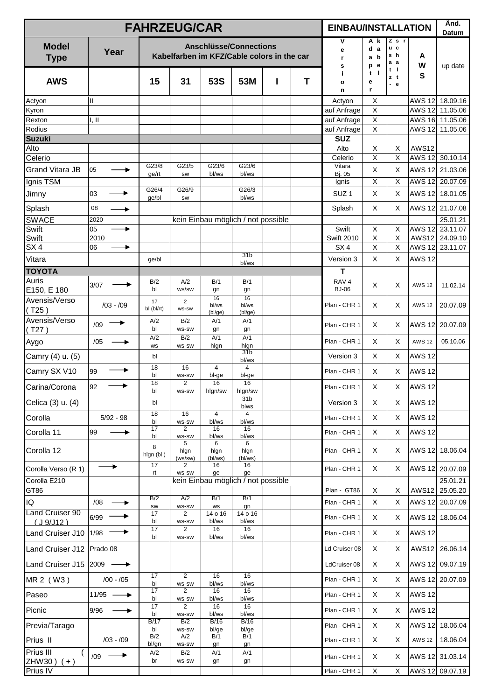|                                    |                           | <b>FAHRZEUG/CAR</b> |                                |                        |                                                                             |   |   | <b>EINBAU/INSTALLATION</b> |                                  |                            |               | Änd.<br>Datum               |
|------------------------------------|---------------------------|---------------------|--------------------------------|------------------------|-----------------------------------------------------------------------------|---|---|----------------------------|----------------------------------|----------------------------|---------------|-----------------------------|
| <b>Model</b><br><b>Type</b>        | Year                      |                     |                                |                        | <b>Anschlüsse/Connections</b><br>Kabelfarben im KFZ/Cable colors in the car |   |   | ٧<br>е<br>r.<br>s          | A k<br>d a<br>a b<br>e<br>p      | Z s r<br>u c<br>s h<br>а а | A<br>W        | up date                     |
| <b>AWS</b>                         |                           | 15                  | 31                             | 53S                    | 53M                                                                         | ı | T | j.<br>o<br>n               | $\blacksquare$<br>t<br>е<br>r    | t I<br>zt<br>$-e$          | S             |                             |
| Actyon                             | $\mathbf{II}$             |                     |                                |                        |                                                                             |   |   | Actyon                     | X                                |                            | <b>AWS 12</b> | 18.09.16                    |
| Kyron<br>Rexton                    | I, II                     |                     |                                |                        |                                                                             |   |   | auf Anfrage<br>auf Anfrage | $\overline{X}$<br>$\overline{X}$ |                            | <b>AWS 12</b> | 11.05.06<br>AWS 16 11.05.06 |
| Rodius                             |                           |                     |                                |                        |                                                                             |   |   | auf Anfrage                | X                                |                            | <b>AWS 12</b> | 11.05.06                    |
| <b>Suzuki</b>                      |                           |                     |                                |                        |                                                                             |   |   | <b>SUZ</b>                 |                                  |                            |               |                             |
| Alto<br>Celerio                    |                           |                     |                                |                        |                                                                             |   |   | Alto<br>Celerio            | $\mathsf X$<br>$\overline{X}$    | X<br>X                     | <b>AWS12</b>  | AWS 12 30.10.14             |
| <b>Grand Vitara JB</b>             | 05                        | G23/8               | G23/5                          | G23/6                  | G23/6                                                                       |   |   | Vitara                     | $\mathsf X$                      | X                          | <b>AWS 12</b> | 21.03.06                    |
| Ignis TSM                          |                           | ge/rt               | <b>SW</b>                      | bl/ws                  | bl/ws                                                                       |   |   | Bj. 05<br>Ignis            | X                                | X                          |               | AWS 12 20.07.09             |
| Jimny                              | 03                        | G26/4               | G26/9                          |                        | G26/3                                                                       |   |   | SUZ <sub>1</sub>           | X                                | Χ                          |               | AWS 12 18.01.05             |
| Splash                             | 08                        | ge/bl               | SW                             |                        | bl/ws                                                                       |   |   | Splash                     | X                                | X                          | AWS 12        | 21.07.08                    |
| <b>SWACE</b>                       | ▸<br>2020                 |                     |                                |                        | kein Einbau möglich / not possible                                          |   |   |                            |                                  |                            |               | 25.01.21                    |
| Swift                              | 05<br>▶                   |                     |                                |                        |                                                                             |   |   | Swift                      | $\mathsf X$                      | X                          | <b>AWS 12</b> | 23.11.07                    |
| Swift                              | 2010                      |                     |                                |                        |                                                                             |   |   | <b>Swift 2010</b>          | $\overline{X}$                   | X                          | <b>AWS12</b>  | 24.09.10                    |
| SX4                                | 06<br>▶                   |                     |                                |                        | 31 <sub>b</sub>                                                             |   |   | SX <sub>4</sub>            | X                                | $\overline{\mathsf{x}}$    | <b>AWS 12</b> | 23.11.07                    |
| Vitara                             |                           | ge/bl               |                                |                        | bl/ws                                                                       |   |   | Version 3<br>Т             | X                                | X                          | <b>AWS 12</b> |                             |
| <b>TOYOTA</b><br>Auris             |                           | B/2                 | A/2                            | B/1                    | B/1                                                                         |   |   | RAV <sub>4</sub>           |                                  |                            |               |                             |
| E150, E 180                        | 3/07                      | bl                  | ws/sw                          | gn                     | gn                                                                          |   |   | <b>BJ-06</b>               | X                                | X                          | <b>AWS 12</b> | 11.02.14                    |
| Avensis/Verso<br>(T25)             | $/03 - /09$               | 17<br>bl (bl/rt)    | $\overline{2}$<br>ws-sw        | 16<br>bl/ws<br>(bl/ge) | 16<br>bl/ws<br>(bl/ge)                                                      |   |   | Plan - CHR 1               | X                                | Χ                          | <b>AWS 12</b> | 20.07.09                    |
| Avensis/Verso<br>(T27)             | /09                       | A/2<br>bl           | B/2<br><b>WS-SW</b>            | A/1<br>gn              | A/1<br>gn                                                                   |   |   | Plan - CHR 1               | X                                | X                          | <b>AWS 12</b> | 20.07.09                    |
| Aygo                               | /05                       | A/2<br><b>WS</b>    | B/2<br><b>WS-SW</b>            | A/1<br>hlgn            | A/1<br>hlgn                                                                 |   |   | Plan - CHR 1               | X                                | X                          | <b>AWS 12</b> | 05.10.06                    |
| Camry (4) u. (5)                   |                           | bl                  |                                |                        | 31 <sub>b</sub><br>bl/ws                                                    |   |   | Version 3                  | X                                | X                          | <b>AWS 12</b> |                             |
| Camry SX V10                       | 99                        | 18<br>bl            | 16<br><b>WS-SW</b>             | 4<br>bl-ge             | 4<br>bl-ge                                                                  |   |   | Plan - CHR 1               | X                                | X                          | <b>AWS 12</b> |                             |
| Carina/Corona                      | 92                        | 18<br>bl            | 2<br>WS-SW                     | 16<br>hlgn/sw          | 16<br>hlgn/sw                                                               |   |   | Plan - CHR 1               | X                                | X                          | <b>AWS 12</b> |                             |
| Celica (3) u. (4)                  |                           | bl                  | 16                             |                        | 31 <sub>b</sub><br>blws                                                     |   |   | Version 3                  | X                                | Χ                          | <b>AWS 12</b> |                             |
| Corolla                            | $5/92 - 98$               | 18<br>bl            | WS-SW                          | 4<br>bl/ws             | $\overline{4}$<br>bl/ws                                                     |   |   | Plan - CHR 1               | X                                | X                          | <b>AWS 12</b> |                             |
| Corolla 11                         | 99<br>→                   | 17<br>bl            | 2<br>WS-SW                     | 16<br>bl/ws            | 16<br>bl/ws                                                                 |   |   | Plan - CHR 1               | X                                | X                          | <b>AWS 12</b> |                             |
| Corolla 12                         |                           | 8<br>hlgn (bl)      | 5<br>hlgn<br>(ws/sw)           | 6<br>hlgn<br>(bl/ws)   | 6<br>hlgn<br>(bl/ws)                                                        |   |   | Plan - CHR 1               | X                                | X                          |               | AWS 12 18.06.04             |
| Corolla Verso (R 1)                |                           | 17<br>rt            | $\overline{2}$<br>WS-SW        | 16<br>ge               | 16<br>ge                                                                    |   |   | Plan - CHR 1               | X                                | X                          |               | AWS 12 20.07.09             |
| Corolla E210                       |                           |                     |                                |                        | kein Einbau möglich / not possible                                          |   |   |                            |                                  |                            |               | 25.01.21                    |
| GT86                               |                           | B/2                 | A/2                            | B/1                    | B/1                                                                         |   |   | Plan - GT86                | $\mathsf X$                      | X                          | <b>AWS12</b>  | 25.05.20                    |
| IQ                                 | /08                       | SW                  | WS-SW                          | WS                     | gn                                                                          |   |   | Plan - CHR 1               | $\mathsf X$                      | X                          | <b>AWS 12</b> | 20.07.09                    |
| <b>Land Cruiser 90</b><br>(J9/J12) | 6/99                      | 17<br>bl            | $\overline{2}$<br>WS-SW        | 14 o 16<br>bl/ws       | 14 o 16<br>bl/ws                                                            |   |   | Plan - CHR 1               | X                                | Χ                          |               | AWS 12 18.06.04             |
| Land Cruiser J10                   | 1/98                      | 17<br>bl            | $\overline{2}$<br><b>WS-SW</b> | 16<br>bl/ws            | 16<br>bl/ws                                                                 |   |   | Plan - CHR 1               | X                                | Χ                          | <b>AWS 12</b> |                             |
| Land Cruiser J12                   | Prado 08                  |                     |                                |                        |                                                                             |   |   | Ld Cruiser 08              | X                                | X                          | <b>AWS12</b>  | 26.06.14                    |
| Land Cruiser J15                   | $ 2009 \longrightarrow$   |                     |                                |                        |                                                                             |   |   | LdCruiser 08               | X                                | X                          | <b>AWS 12</b> | 09.07.19                    |
| MR 2 (W3)                          | $/00 - /05$               | 17<br>bl            | $\overline{2}$<br>WS-SW        | 16<br>bl/ws            | 16<br>bl/ws                                                                 |   |   | Plan - CHR 1               | X                                | X                          |               | AWS 12 20.07.09             |
| Paseo                              | $11/95$ $\longrightarrow$ | 17<br>bl            | 2<br>WS-SW                     | 16<br>bl/ws            | 16<br>bl/ws                                                                 |   |   | Plan - CHR 1               | X                                | X                          | <b>AWS 12</b> |                             |
| Picnic                             | 9/96                      | 17<br>bl            | 2<br><b>WS-SW</b>              | 16<br>bl/ws            | 16<br>bl/ws                                                                 |   |   | Plan - CHR 1               | X                                | X                          | <b>AWS 12</b> |                             |
| Previa/Tarago                      |                           | B/17<br>bl          | B/2<br>WS-SW                   | B/16<br>bl/ge          | B/16<br>bl/ge                                                               |   |   | Plan - CHR 1               | X                                | X                          |               | AWS 12 18.06.04             |
| Prius II                           | $/03 - /09$               | B/2<br>bl/gn        | A/2<br>WS-SW                   | B/1<br>gn              | B/1<br>gn                                                                   |   |   | Plan - CHR 1               | X                                | X                          | <b>AWS 12</b> | 18.06.04                    |
| Prius III<br>$\overline{ }$        | →<br>/09                  | A/2                 | B/2                            | A/1                    | A/1                                                                         |   |   | Plan - CHR 1               | X                                | Χ                          |               | AWS 12 31.03.14             |
| ZHW30) $(+)$<br>Prius IV           |                           | br                  | WS-SW                          | gn                     | gn                                                                          |   |   | Plan - CHR 1               | X                                | X                          |               | AWS 12 09.07.19             |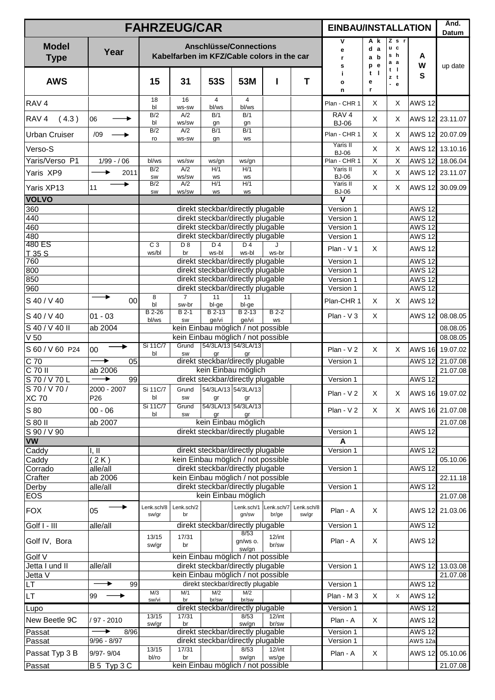|                             |                 |                     | <b>FAHRZEUG/CAR</b>     |                                                                             |                         |                     |                     | <b>EINBAU/INSTALLATION</b>       |                          |                                     |                                | Änd.<br>Datum               |
|-----------------------------|-----------------|---------------------|-------------------------|-----------------------------------------------------------------------------|-------------------------|---------------------|---------------------|----------------------------------|--------------------------|-------------------------------------|--------------------------------|-----------------------------|
| <b>Model</b><br><b>Type</b> | Year            |                     |                         | <b>Anschlüsse/Connections</b><br>Kabelfarben im KFZ/Cable colors in the car |                         |                     |                     | ۷<br>е<br>r.<br>s                | A k<br>d a<br>a b<br>p e | $Z$ s r<br>u c<br>s h<br>a a<br>t I | A<br>W                         | up date                     |
| <b>AWS</b>                  |                 | 15                  | 31                      | <b>53S</b>                                                                  | 53M                     | I                   | T                   | j.<br>$\mathbf{o}$<br>n          | $t$  <br>е<br>r          | zt<br>$-e$                          | S                              |                             |
| RAV <sub>4</sub>            |                 | 18<br>bl            | 16<br><b>WS-SW</b>      | $\overline{4}$<br>bl/ws                                                     | $\overline{4}$<br>bl/ws |                     |                     | Plan - CHR 1                     | X                        | X                                   | <b>AWS 12</b>                  |                             |
| RAV <sub>4</sub><br>(4.3)   | 06              | B/2<br>bl           | A/2<br>ws/sw            | B/1<br>gn                                                                   | B/1<br>gn               |                     |                     | RAV <sub>4</sub><br><b>BJ-06</b> | $\mathsf X$              | X                                   | AWS 12                         | 23.11.07                    |
| <b>Urban Cruiser</b>        | /09             | B/2<br>ro           | A/2<br>WS-SW            | B/1<br>gn                                                                   | B/1<br><b>WS</b>        |                     |                     | Plan - CHR 1                     | X                        | X                                   |                                | AWS 12 20.07.09             |
| Verso-S                     |                 |                     |                         |                                                                             |                         |                     |                     | Yaris II<br><b>BJ-06</b>         | $\pmb{\times}$           | X                                   |                                | AWS 12 13.10.16             |
| Yaris/Verso P1              | $1/99 - / 06$   | bl/ws               | ws/sw                   | ws/gn                                                                       | ws/gn                   |                     |                     | Plan - CHR 1                     | X                        | X                                   |                                | AWS 12 18.06.04             |
| Yaris XP9                   | 2011            | B/2                 | A/2<br>ws/sw            | H/1                                                                         | H/1                     |                     |                     | Yaris II<br><b>BJ-06</b>         | $\pmb{\times}$           | X                                   |                                | AWS 12 23.11.07             |
| Yaris XP13                  | 11              | <b>SW</b><br>B/2    | A/2                     | WS<br>H/1                                                                   | <b>WS</b><br>H/1        |                     |                     | Yaris II                         | X                        | X                                   |                                | AWS 12 30.09.09             |
| <b>VOLVO</b>                |                 | SW                  | ws/sw                   | WS                                                                          | WS                      |                     |                     | <b>BJ-06</b><br>v                |                          |                                     |                                |                             |
| 360                         |                 |                     |                         | direkt steckbar/directly plugable                                           |                         |                     |                     | Version 1                        |                          |                                     | <b>AWS 12</b>                  |                             |
| 440                         |                 |                     |                         | direkt steckbar/directly plugable                                           |                         |                     |                     | Version 1                        |                          |                                     | <b>AWS 12</b>                  |                             |
| 460<br>480                  |                 |                     |                         | direkt steckbar/directly plugable<br>direkt steckbar/directly plugable      |                         |                     |                     | Version 1                        |                          |                                     | <b>AWS 12</b><br><b>AWS 12</b> |                             |
| 480 ES                      |                 | C <sub>3</sub>      | D <sub>8</sub>          | D <sub>4</sub>                                                              | D <sub>4</sub>          |                     |                     | Version 1                        |                          |                                     |                                |                             |
| T 35 S                      |                 | ws/bl               | br                      | ws-bl                                                                       | ws-bl                   | ws-br               |                     | Plan - V 1                       | X                        |                                     | <b>AWS 12</b>                  |                             |
| 760<br>800                  |                 |                     |                         | direkt steckbar/directly plugable<br>direkt steckbar/directly plugable      |                         |                     |                     | Version 1<br>Version 1           |                          |                                     | <b>AWS 12</b><br><b>AWS 12</b> |                             |
| 850                         |                 |                     |                         | direkt steckbar/directly plugable                                           |                         |                     |                     | Version 1                        |                          |                                     | <b>AWS 12</b>                  |                             |
| 960                         |                 |                     |                         | direkt steckbar/directly plugable                                           |                         |                     |                     | Version 1                        |                          |                                     | <b>AWS 12</b>                  |                             |
| S 40 / V 40                 | 00              | 8<br>b              | $\overline{7}$<br>sw-br | 11<br>bl-ge                                                                 | 11<br>bl-ge             |                     |                     | Plan-CHR 1                       | X                        | X                                   | <b>AWS 12</b>                  |                             |
| S 40 / V 40                 | $01 - 03$       | B 2-26<br>bl/ws     | $B$ 2-1<br>SW           | $B$ 2-13<br>qe/vi                                                           | $B$ 2-13<br>ge/vi       | $B2-2$<br><b>WS</b> |                     | Plan - $V$ 3                     | $\times$                 |                                     | <b>AWS 12</b>                  | 08.08.05                    |
| $S$ 40 / $V$ 40 II          | ab 2004         |                     |                         | kein Einbau möglich / not possible                                          |                         |                     |                     |                                  |                          |                                     |                                | 08.08.05                    |
| V <sub>50</sub>             |                 | Si 11C/7            | Grund                   | kein Einbau möglich / not possible<br>54/3LA/13 54/3LA/13                   |                         |                     |                     |                                  |                          |                                     |                                | 08.08.05                    |
| S 60 / V 60 P24             | 00              | bl                  | <b>SW</b>               | qr                                                                          | qr                      |                     |                     | $Plan - V 2$                     | $\times$                 | X                                   | <b>AWS 16</b>                  | 19.07.02                    |
| $\overline{C}$ 70           | 05<br>٠         |                     |                         | direkt steckbar/directly plugable                                           |                         |                     |                     | Version 1                        |                          |                                     | <b>AWS 12</b>                  | 21.07.08                    |
| $C$ 70 II<br>S70/V70L       | ab 2006<br>99   |                     |                         | kein Einbau möglich<br>direkt steckbar/directly plugable                    |                         |                     |                     | Version 1                        |                          |                                     | <b>AWS 12</b>                  | 21.07.08                    |
| S 70 / V 70 /               | 2000 - 2007     | Si 11C/7            |                         | Grund 54/3LA/13 54/3LA/13                                                   |                         |                     |                     |                                  |                          |                                     |                                |                             |
| <b>XC 70</b>                | P <sub>26</sub> | bl                  | SW                      | gr                                                                          | gr                      |                     |                     | Plan - V2                        | X                        | X                                   |                                | AWS 16 19.07.02             |
| S 80                        | $00 - 06$       | Si 11C/7<br>bl      | Grund<br>SW             | 54/3LA/13 54/3LA/13<br>gr                                                   | gr                      |                     |                     | Plan - $V$ 2                     | $\times$                 | X                                   |                                | AWS 16 21.07.08             |
| $S80$ II                    | ab 2007         |                     |                         | kein Einbau möglich                                                         |                         |                     |                     |                                  |                          |                                     |                                | 21.07.08                    |
| S 90 / V 90<br><b>VW</b>    |                 |                     |                         | direkt steckbar/directly plugable                                           |                         |                     |                     | Version 1                        |                          |                                     | <b>AWS 12</b>                  |                             |
| Caddy                       | 1, II           |                     |                         | direkt steckbar/directly plugable                                           |                         |                     |                     | A<br>Version 1                   |                          |                                     | <b>AWS 12</b>                  |                             |
| Caddy                       | (2K)            |                     |                         | kein Einbau möglich / not possible                                          |                         |                     |                     |                                  |                          |                                     |                                | 05.10.06                    |
| Corrado                     | alle/all        |                     |                         | direkt steckbar/directly plugable                                           |                         |                     |                     | Version 1                        |                          |                                     | <b>AWS 12</b>                  |                             |
| Crafter                     | ab 2006         |                     |                         | kein Einbau möglich / not possible                                          |                         |                     |                     |                                  |                          |                                     |                                | 22.11.18                    |
| Derby<br>EOS                | alle/all        |                     |                         | direkt steckbar/directly plugable<br>kein Einbau möglich                    |                         |                     |                     | Version 1                        |                          |                                     | <b>AWS 12</b>                  | 21.07.08                    |
| <b>FOX</b>                  | 05              | Lenk.sch/8<br>sw/gr | Lenk.sch/2<br>br        |                                                                             | Lenk.sch/1<br>gn/sw     | Lenk.sch/7<br>br/ge | Lenk.sch/8<br>sw/gr | Plan - A                         | X                        |                                     |                                | AWS 12 21.03.06             |
| Golf I - III                | alle/all        |                     |                         | direkt steckbar/directly plugable                                           | 8/53                    |                     |                     | Version 1                        |                          |                                     | <b>AWS 12</b>                  |                             |
| Golf IV, Bora               |                 | 13/15<br>sw/gr      | 17/31<br>br             |                                                                             | gn/ws o.<br>sw/gn       | $12$ /int<br>br/sw  |                     | Plan - A                         | X                        |                                     | <b>AWS 12</b>                  |                             |
| Golf V                      |                 |                     |                         | kein Einbau möglich / not possible                                          |                         |                     |                     |                                  |                          |                                     |                                |                             |
| Jetta I und II<br>Jetta V   | alle/all        |                     |                         | direkt steckbar/directly plugable<br>kein Einbau möglich / not possible     |                         |                     |                     | Version 1                        |                          |                                     |                                | AWS 12 13.03.08<br>21.07.08 |
| LT                          | 99              |                     |                         | direkt steckbar/directly plugable                                           |                         |                     |                     | Version 1                        |                          |                                     | <b>AWS 12</b>                  |                             |
| LT.                         | 99              | M/3<br>sw/vi        | M/1<br>br               | M/2<br>br/sw                                                                | M/2<br>br/sw            |                     |                     | Plan - M 3                       | X                        | X                                   | <b>AWS 12</b>                  |                             |
| Lupo                        |                 |                     |                         | direkt steckbar/directly plugable                                           |                         |                     |                     | Version 1                        |                          |                                     | <b>AWS 12</b>                  |                             |
| New Beetle 9C               | / 97 - 2010     | 13/15               | 17/31                   |                                                                             | 8/53                    | $12$ /int           |                     | Plan - A                         | X                        |                                     | <b>AWS 12</b>                  |                             |
| Passat                      | 8/96            | sw/gr               | br                      | direkt steckbar/directly plugable                                           | sw/gn                   | br/sw               |                     | Version 1                        |                          |                                     | <b>AWS 12</b>                  |                             |
| Passat                      | $9/96 - 8/97$   |                     |                         | direkt steckbar/directly plugable                                           |                         |                     |                     | Version 1                        |                          |                                     | AWS 12a                        |                             |
| Passat Typ 3 B              | 9/97-9/04       | 13/15<br>bl/ro      | 17/31<br>br             |                                                                             | 8/53<br>sw/gn           | $12$ /int<br>ws/ge  |                     | Plan - A                         | X                        |                                     | <b>AWS 12</b>                  | 05.10.06                    |
| Passat                      | B 5 Typ 3 C     |                     |                         | kein Einbau möglich / not possible                                          |                         |                     |                     |                                  |                          |                                     |                                | 21.07.08                    |